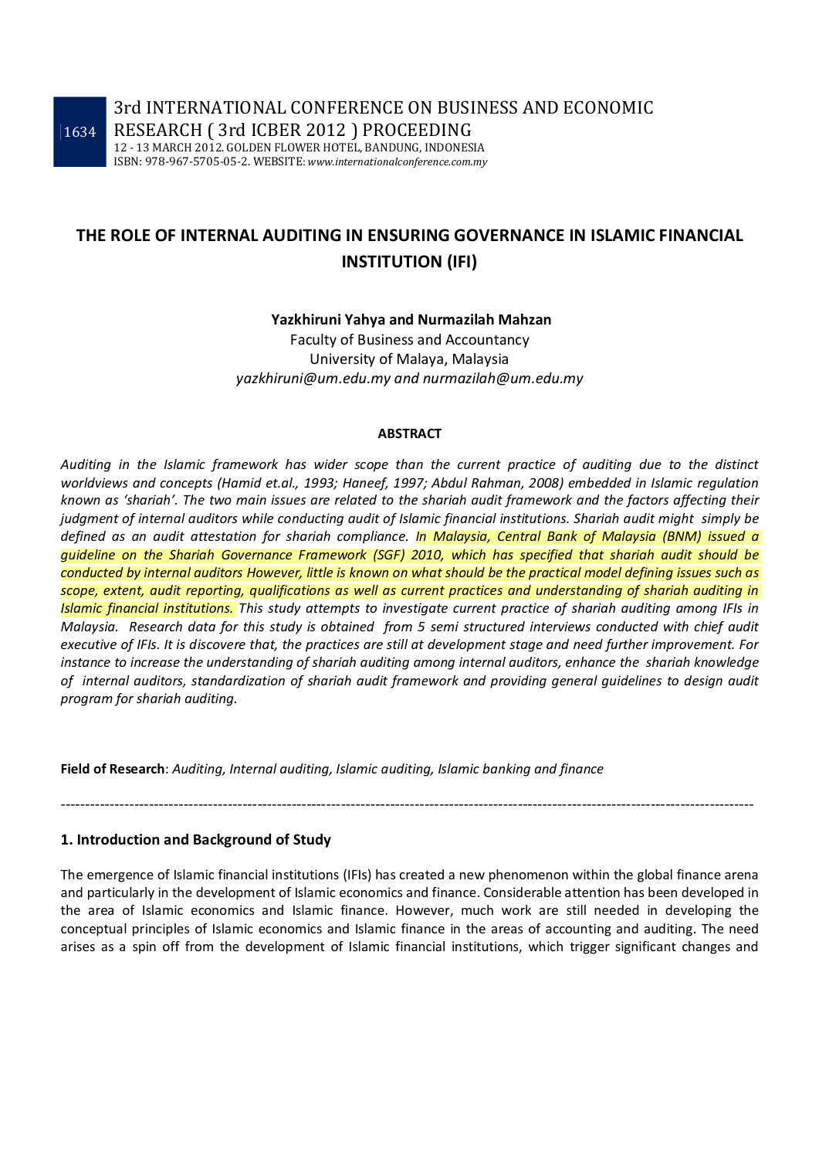3rd INTERNATIONAL CONFERENCE ON BUSINESS AND ECONOMIC RESEARCH ( 3rd ICBER 2012 ) PROCEEDING

12 - 13 MARCH 2012. GOLDEN FLOWER HOTEL, BANDUNG, INDONESIA ISBN: 978-967-5705-05-2. WEBSITE: *www.internationalconference.com.my*

# **THE ROLE OF INTERNAL AUDITING IN ENSURING GOVERNANCE IN ISLAMIC FINANCIAL INSTITUTION (IFI)**

#### **Yazkhiruni Yahya and Nurmazilah Mahzan**

Faculty of Business and Accountancy University of Malaya, Malaysia *yazkhiruni@um.edu.my and nurmazilah@um.edu.my* 

#### **ABSTRACT**

*Auditing in the Islamic framework has wider scope than the current practice of auditing due to the distinct worldviews and concepts (Hamid et.al., 1993; Haneef, 1997; Abdul Rahman, 2008) embedded in Islamic regulation known as 'shariah'. The two main issues are related to the shariah audit framework and the factors affecting their judgment of internal auditors while conducting audit of Islamic financial institutions. Shariah audit might simply be defined as an audit attestation for shariah compliance. In Malaysia, Central Bank of Malaysia (BNM) issued a guideline on the Shariah Governance Framework (SGF) 2010, which has specified that shariah audit should be conducted by internal auditors However, little is known on what should be the practical model defining issues such as scope, extent, audit reporting, qualifications as well as current practices and understanding of shariah auditing in Islamic financial institutions. This study attempts to investigate current practice of shariah auditing among IFIs in Malaysia. Research data for this study is obtained from 5 semi structured interviews conducted with chief audit executive of IFIs. It is discovere that, the practices are still at development stage and need further improvement. For instance to increase the understanding of shariah auditing among internal auditors, enhance the shariah knowledge of internal auditors, standardization of shariah audit framework and providing general guidelines to design audit program for shariah auditing.* 

**Field of Research**: *Auditing, Internal auditing, Islamic auditing, Islamic banking and finance* 

#### **1. Introduction and Background of Study**

The emergence of Islamic financial institutions (IFIs) has created a new phenomenon within the global finance arena and particularly in the development of Islamic economics and finance. Considerable attention has been developed in the area of Islamic economics and Islamic finance. However, much work are still needed in developing the conceptual principles of Islamic economics and Islamic finance in the areas of accounting and auditing. The need arises as a spin off from the development of Islamic financial institutions, which trigger significant changes and

---------------------------------------------------------------------------------------------------------------------------------------------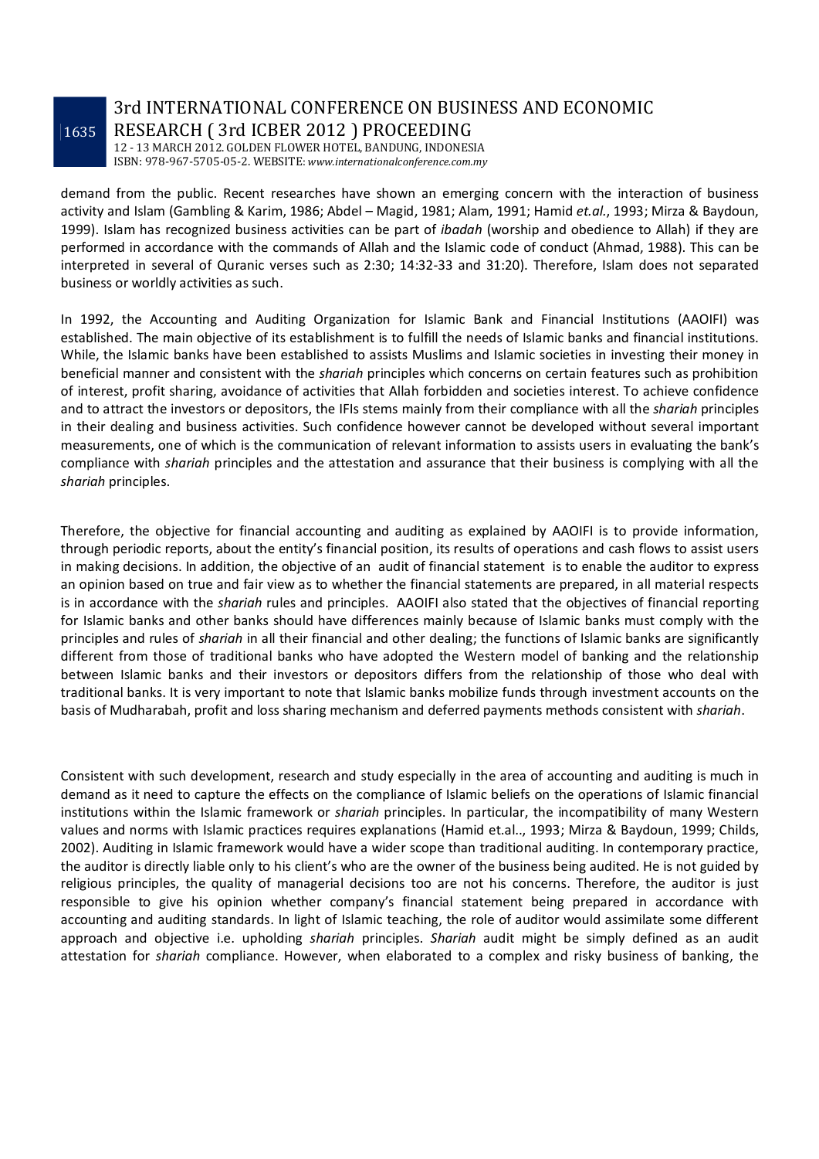# 3rd INTERNATIONAL CONFERENCE ON BUSINESS AND ECONOMIC RESEARCH ( 3rd ICBER 2012 ) PROCEEDING

12 - 13 MARCH 2012. GOLDEN FLOWER HOTEL, BANDUNG, INDONESIA ISBN: 978-967-5705-05-2. WEBSITE: *www.internationalconference.com.my*

demand from the public. Recent researches have shown an emerging concern with the interaction of business activity and Islam (Gambling & Karim, 1986; Abdel – Magid, 1981; Alam, 1991; Hamid *et.al.*, 1993; Mirza & Baydoun, 1999). Islam has recognized business activities can be part of *ibadah* (worship and obedience to Allah) if they are performed in accordance with the commands of Allah and the Islamic code of conduct (Ahmad, 1988). This can be interpreted in several of Quranic verses such as 2:30; 14:32-33 and 31:20). Therefore, Islam does not separated business or worldly activities as such.

In 1992, the Accounting and Auditing Organization for Islamic Bank and Financial Institutions (AAOIFI) was established. The main objective of its establishment is to fulfill the needs of Islamic banks and financial institutions. While, the Islamic banks have been established to assists Muslims and Islamic societies in investing their money in beneficial manner and consistent with the *shariah* principles which concerns on certain features such as prohibition of interest, profit sharing, avoidance of activities that Allah forbidden and societies interest. To achieve confidence and to attract the investors or depositors, the IFIs stems mainly from their compliance with all the *shariah* principles in their dealing and business activities. Such confidence however cannot be developed without several important measurements, one of which is the communication of relevant information to assists users in evaluating the bank's compliance with *shariah* principles and the attestation and assurance that their business is complying with all the *shariah* principles.

Therefore, the objective for financial accounting and auditing as explained by AAOIFI is to provide information, through periodic reports, about the entity's financial position, its results of operations and cash flows to assist users in making decisions. In addition, the objective of an audit of financial statement is to enable the auditor to express an opinion based on true and fair view as to whether the financial statements are prepared, in all material respects is in accordance with the *shariah* rules and principles. AAOIFI also stated that the objectives of financial reporting for Islamic banks and other banks should have differences mainly because of Islamic banks must comply with the principles and rules of *shariah* in all their financial and other dealing; the functions of Islamic banks are significantly different from those of traditional banks who have adopted the Western model of banking and the relationship between Islamic banks and their investors or depositors differs from the relationship of those who deal with traditional banks. It is very important to note that Islamic banks mobilize funds through investment accounts on the basis of Mudharabah, profit and loss sharing mechanism and deferred payments methods consistent with *shariah*.

Consistent with such development, research and study especially in the area of accounting and auditing is much in demand as it need to capture the effects on the compliance of Islamic beliefs on the operations of Islamic financial institutions within the Islamic framework or *shariah* principles. In particular, the incompatibility of many Western values and norms with Islamic practices requires explanations (Hamid et.al.., 1993; Mirza & Baydoun, 1999; Childs, 2002). Auditing in Islamic framework would have a wider scope than traditional auditing. In contemporary practice, the auditor is directly liable only to his client's who are the owner of the business being audited. He is not guided by religious principles, the quality of managerial decisions too are not his concerns. Therefore, the auditor is just responsible to give his opinion whether company's financial statement being prepared in accordance with accounting and auditing standards. In light of Islamic teaching, the role of auditor would assimilate some different approach and objective i.e. upholding *shariah* principles. *Shariah* audit might be simply defined as an audit attestation for *shariah* compliance. However, when elaborated to a complex and risky business of banking, the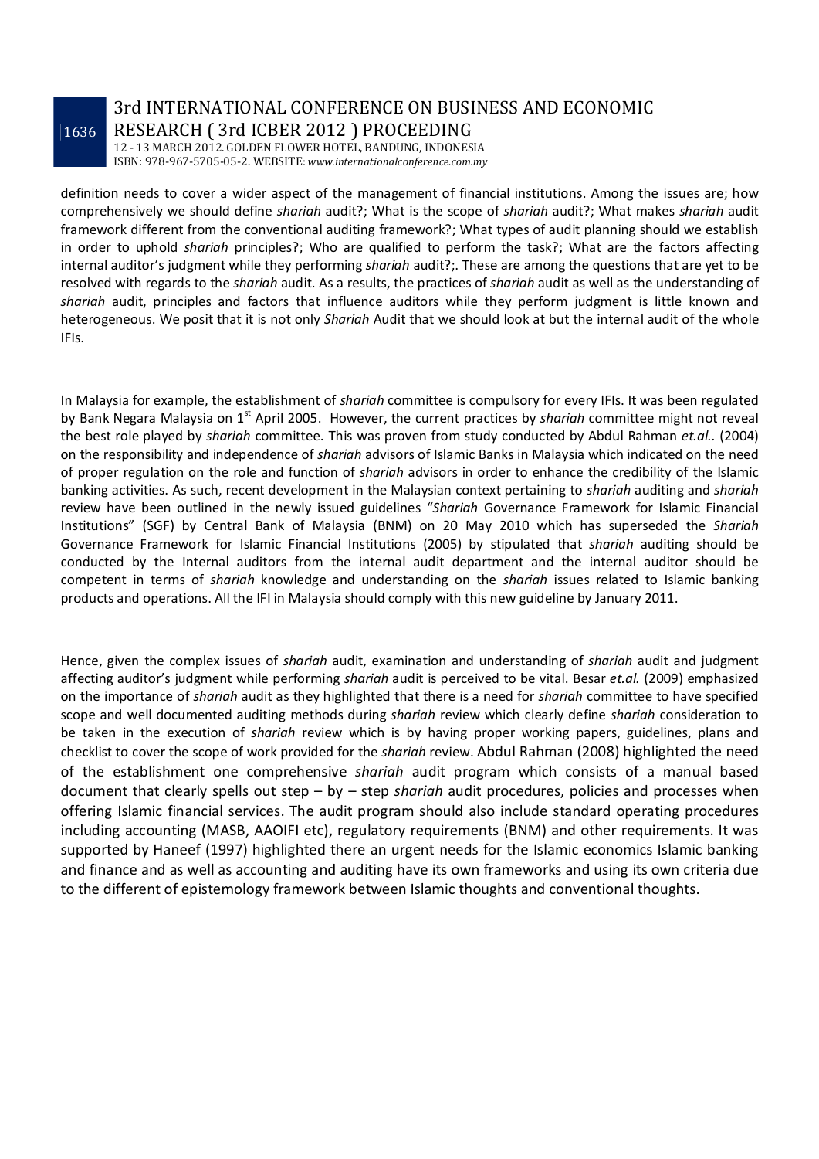# 3rd INTERNATIONAL CONFERENCE ON BUSINESS AND ECONOMIC RESEARCH ( 3rd ICBER 2012 ) PROCEEDING

12 - 13 MARCH 2012. GOLDEN FLOWER HOTEL, BANDUNG, INDONESIA ISBN: 978-967-5705-05-2. WEBSITE: *www.internationalconference.com.my*

definition needs to cover a wider aspect of the management of financial institutions. Among the issues are; how comprehensively we should define *shariah* audit?; What is the scope of *shariah* audit?; What makes *shariah* audit framework different from the conventional auditing framework?; What types of audit planning should we establish in order to uphold *shariah* principles?; Who are qualified to perform the task?; What are the factors affecting internal auditor's judgment while they performing *shariah* audit?;. These are among the questions that are yet to be resolved with regards to the *shariah* audit. As a results, the practices of *shariah* audit as well as the understanding of *shariah* audit, principles and factors that influence auditors while they perform judgment is little known and heterogeneous. We posit that it is not only *Shariah* Audit that we should look at but the internal audit of the whole IFIs.

In Malaysia for example, the establishment of *shariah* committee is compulsory for every IFIs. It was been regulated by Bank Negara Malaysia on 1<sup>st</sup> April 2005. However, the current practices by *shariah* committee might not reveal the best role played by *shariah* committee. This was proven from study conducted by Abdul Rahman *et.al..* (2004) on the responsibility and independence of *shariah* advisors of Islamic Banks in Malaysia which indicated on the need of proper regulation on the role and function of *shariah* advisors in order to enhance the credibility of the Islamic banking activities. As such, recent development in the Malaysian context pertaining to *shariah* auditing and *shariah* review have been outlined in the newly issued guidelines "*Shariah* Governance Framework for Islamic Financial Institutions" (SGF) by Central Bank of Malaysia (BNM) on 20 May 2010 which has superseded the *Shariah* Governance Framework for Islamic Financial Institutions (2005) by stipulated that *shariah* auditing should be conducted by the Internal auditors from the internal audit department and the internal auditor should be competent in terms of *shariah* knowledge and understanding on the *shariah* issues related to Islamic banking products and operations. All the IFI in Malaysia should comply with this new guideline by January 2011.

Hence, given the complex issues of *shariah* audit, examination and understanding of *shariah* audit and judgment affecting auditor's judgment while performing *shariah* audit is perceived to be vital. Besar *et.al.* (2009) emphasized on the importance of *shariah* audit as they highlighted that there is a need for *shariah* committee to have specified scope and well documented auditing methods during *shariah* review which clearly define *shariah* consideration to be taken in the execution of *shariah* review which is by having proper working papers, guidelines, plans and checklist to cover the scope of work provided for the *shariah* review. Abdul Rahman (2008) highlighted the need of the establishment one comprehensive *shariah* audit program which consists of a manual based document that clearly spells out step – by – step *shariah* audit procedures, policies and processes when offering Islamic financial services. The audit program should also include standard operating procedures including accounting (MASB, AAOIFI etc), regulatory requirements (BNM) and other requirements. It was supported by Haneef (1997) highlighted there an urgent needs for the Islamic economics Islamic banking and finance and as well as accounting and auditing have its own frameworks and using its own criteria due to the different of epistemology framework between Islamic thoughts and conventional thoughts.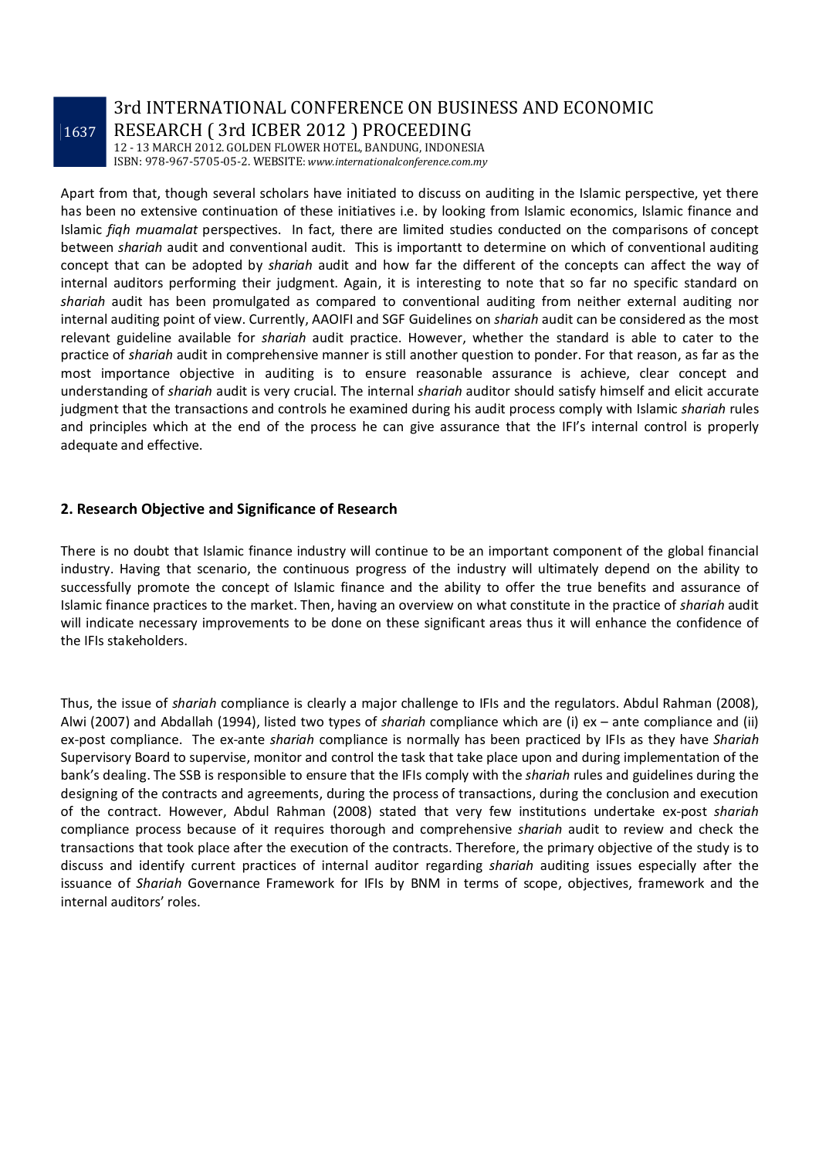### 3rd INTERNATIONAL CONFERENCE ON BUSINESS AND ECONOMIC RESEARCH ( 3rd ICBER 2012 ) PROCEEDING

12 - 13 MARCH 2012. GOLDEN FLOWER HOTEL, BANDUNG, INDONESIA ISBN: 978-967-5705-05-2. WEBSITE: *www.internationalconference.com.my*

Apart from that, though several scholars have initiated to discuss on auditing in the Islamic perspective, yet there has been no extensive continuation of these initiatives i.e. by looking from Islamic economics, Islamic finance and Islamic *fiqh muamalat* perspectives. In fact, there are limited studies conducted on the comparisons of concept between *shariah* audit and conventional audit. This is importantt to determine on which of conventional auditing concept that can be adopted by *shariah* audit and how far the different of the concepts can affect the way of internal auditors performing their judgment. Again, it is interesting to note that so far no specific standard on *shariah* audit has been promulgated as compared to conventional auditing from neither external auditing nor internal auditing point of view. Currently, AAOIFI and SGF Guidelines on *shariah* audit can be considered as the most relevant guideline available for *shariah* audit practice. However, whether the standard is able to cater to the practice of *shariah* audit in comprehensive manner is still another question to ponder. For that reason, as far as the most importance objective in auditing is to ensure reasonable assurance is achieve, clear concept and understanding of *shariah* audit is very crucial. The internal *shariah* auditor should satisfy himself and elicit accurate judgment that the transactions and controls he examined during his audit process comply with Islamic *shariah* rules and principles which at the end of the process he can give assurance that the IFI's internal control is properly adequate and effective.

#### **2. Research Objective and Significance of Research**

There is no doubt that Islamic finance industry will continue to be an important component of the global financial industry. Having that scenario, the continuous progress of the industry will ultimately depend on the ability to successfully promote the concept of Islamic finance and the ability to offer the true benefits and assurance of Islamic finance practices to the market. Then, having an overview on what constitute in the practice of *shariah* audit will indicate necessary improvements to be done on these significant areas thus it will enhance the confidence of the IFIs stakeholders.

Thus, the issue of *shariah* compliance is clearly a major challenge to IFIs and the regulators. Abdul Rahman (2008), Alwi (2007) and Abdallah (1994), listed two types of *shariah* compliance which are (i) ex – ante compliance and (ii) ex-post compliance. The ex-ante *shariah* compliance is normally has been practiced by IFIs as they have *Shariah* Supervisory Board to supervise, monitor and control the task that take place upon and during implementation of the bank's dealing. The SSB is responsible to ensure that the IFIs comply with the *shariah* rules and guidelines during the designing of the contracts and agreements, during the process of transactions, during the conclusion and execution of the contract. However, Abdul Rahman (2008) stated that very few institutions undertake ex-post *shariah* compliance process because of it requires thorough and comprehensive *shariah* audit to review and check the transactions that took place after the execution of the contracts. Therefore, the primary objective of the study is to discuss and identify current practices of internal auditor regarding *shariah* auditing issues especially after the issuance of *Shariah* Governance Framework for IFIs by BNM in terms of scope, objectives, framework and the internal auditors' roles.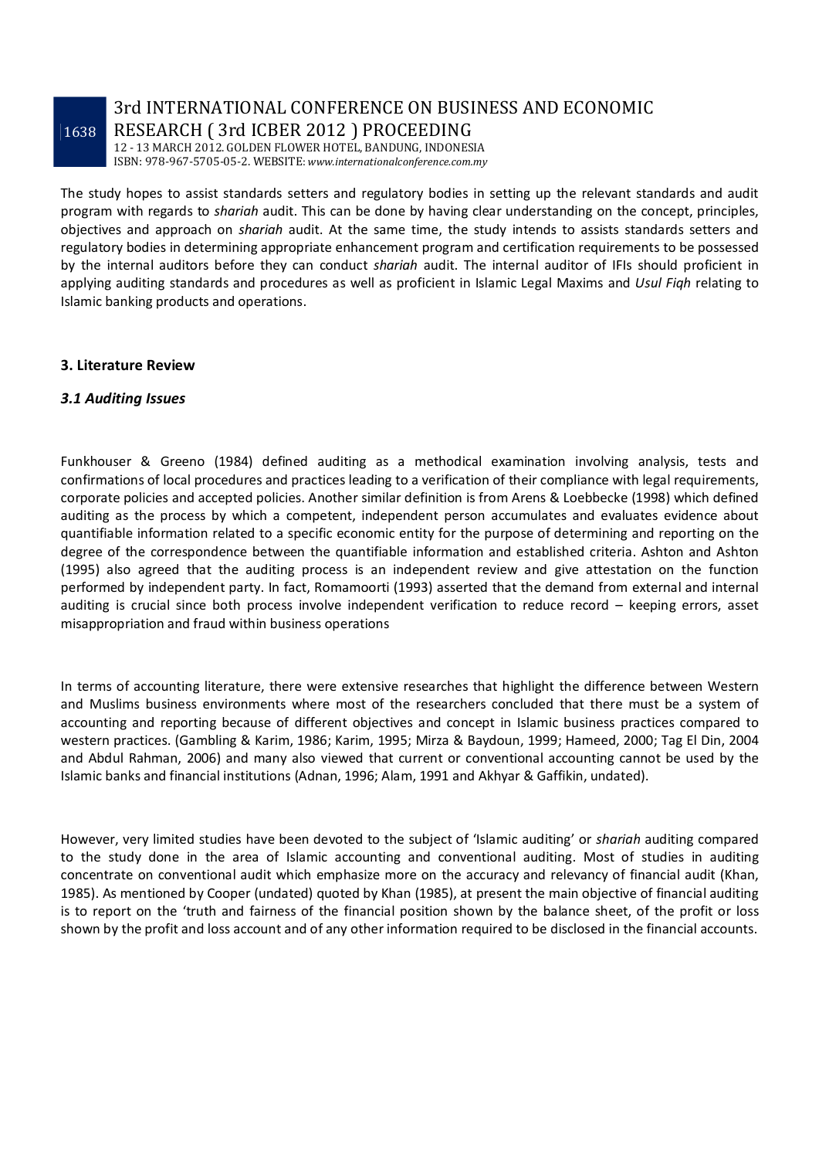# 3rd INTERNATIONAL CONFERENCE ON BUSINESS AND ECONOMIC RESEARCH ( 3rd ICBER 2012 ) PROCEEDING

12 - 13 MARCH 2012. GOLDEN FLOWER HOTEL, BANDUNG, INDONESIA ISBN: 978-967-5705-05-2. WEBSITE: *www.internationalconference.com.my*

The study hopes to assist standards setters and regulatory bodies in setting up the relevant standards and audit program with regards to *shariah* audit. This can be done by having clear understanding on the concept, principles, objectives and approach on *shariah* audit. At the same time, the study intends to assists standards setters and regulatory bodies in determining appropriate enhancement program and certification requirements to be possessed by the internal auditors before they can conduct *shariah* audit. The internal auditor of IFIs should proficient in applying auditing standards and procedures as well as proficient in Islamic Legal Maxims and *Usul Fiqh* relating to Islamic banking products and operations.

#### **3. Literature Review**

#### *3.1 Auditing Issues*

Funkhouser & Greeno (1984) defined auditing as a methodical examination involving analysis, tests and confirmations of local procedures and practices leading to a verification of their compliance with legal requirements, corporate policies and accepted policies. Another similar definition is from Arens & Loebbecke (1998) which defined auditing as the process by which a competent, independent person accumulates and evaluates evidence about quantifiable information related to a specific economic entity for the purpose of determining and reporting on the degree of the correspondence between the quantifiable information and established criteria. Ashton and Ashton (1995) also agreed that the auditing process is an independent review and give attestation on the function performed by independent party. In fact, Romamoorti (1993) asserted that the demand from external and internal auditing is crucial since both process involve independent verification to reduce record – keeping errors, asset misappropriation and fraud within business operations

In terms of accounting literature, there were extensive researches that highlight the difference between Western and Muslims business environments where most of the researchers concluded that there must be a system of accounting and reporting because of different objectives and concept in Islamic business practices compared to western practices. (Gambling & Karim, 1986; Karim, 1995; Mirza & Baydoun, 1999; Hameed, 2000; Tag El Din, 2004 and Abdul Rahman, 2006) and many also viewed that current or conventional accounting cannot be used by the Islamic banks and financial institutions (Adnan, 1996; Alam, 1991 and Akhyar & Gaffikin, undated).

However, very limited studies have been devoted to the subject of 'Islamic auditing' or *shariah* auditing compared to the study done in the area of Islamic accounting and conventional auditing. Most of studies in auditing concentrate on conventional audit which emphasize more on the accuracy and relevancy of financial audit (Khan, 1985). As mentioned by Cooper (undated) quoted by Khan (1985), at present the main objective of financial auditing is to report on the 'truth and fairness of the financial position shown by the balance sheet, of the profit or loss shown by the profit and loss account and of any other information required to be disclosed in the financial accounts.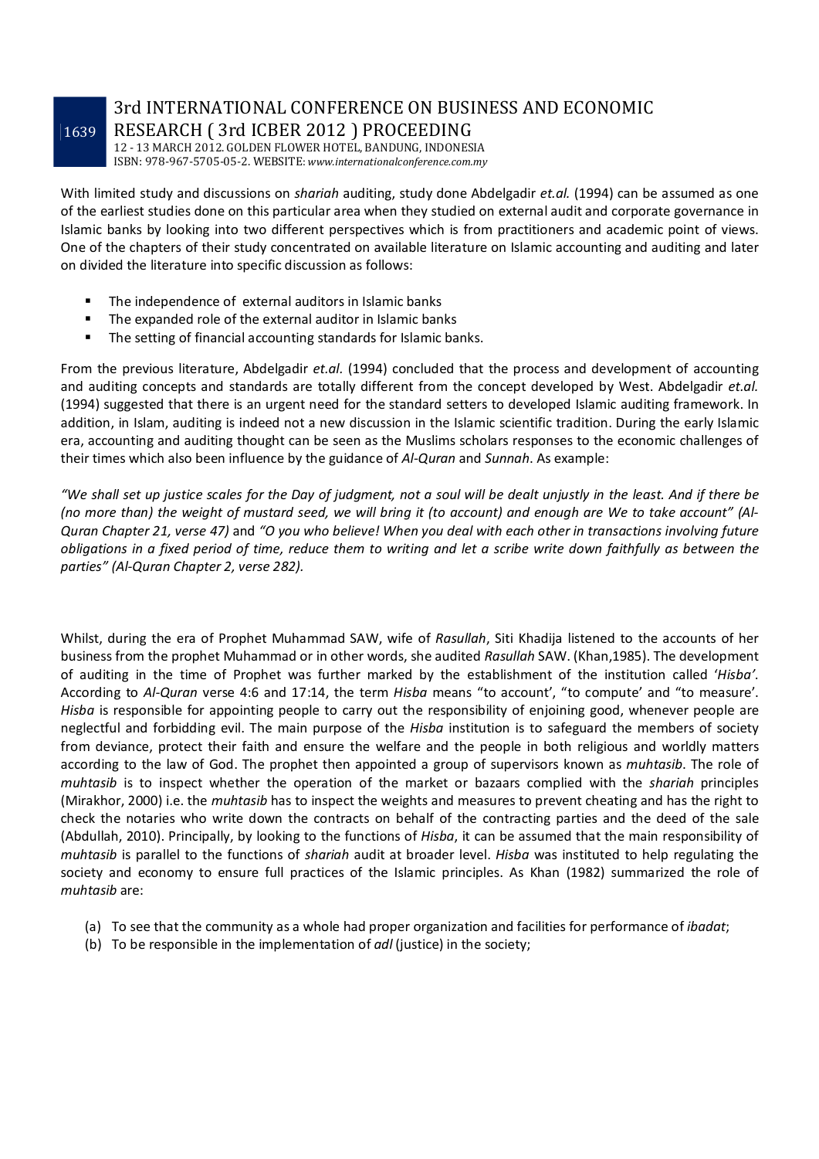# 3rd INTERNATIONAL CONFERENCE ON BUSINESS AND ECONOMIC RESEARCH ( 3rd ICBER 2012 ) PROCEEDING

12 - 13 MARCH 2012. GOLDEN FLOWER HOTEL, BANDUNG, INDONESIA ISBN: 978-967-5705-05-2. WEBSITE: *www.internationalconference.com.my*

With limited study and discussions on *shariah* auditing, study done Abdelgadir *et.al.* (1994) can be assumed as one of the earliest studies done on this particular area when they studied on external audit and corporate governance in Islamic banks by looking into two different perspectives which is from practitioners and academic point of views. One of the chapters of their study concentrated on available literature on Islamic accounting and auditing and later on divided the literature into specific discussion as follows:

- The independence of external auditors in Islamic banks
- The expanded role of the external auditor in Islamic banks
- **The setting of financial accounting standards for Islamic banks.**

From the previous literature, Abdelgadir *et.al.* (1994) concluded that the process and development of accounting and auditing concepts and standards are totally different from the concept developed by West. Abdelgadir *et.al.* (1994) suggested that there is an urgent need for the standard setters to developed Islamic auditing framework. In addition, in Islam, auditing is indeed not a new discussion in the Islamic scientific tradition. During the early Islamic era, accounting and auditing thought can be seen as the Muslims scholars responses to the economic challenges of their times which also been influence by the guidance of *Al-Quran* and *Sunnah*. As example:

*"We shall set up justice scales for the Day of judgment, not a soul will be dealt unjustly in the least. And if there be (no more than) the weight of mustard seed, we will bring it (to account) and enough are We to take account" (Al-Quran Chapter 21, verse 47)* and *"O you who believe! When you deal with each other in transactions involving future obligations in a fixed period of time, reduce them to writing and let a scribe write down faithfully as between the parties" (Al-Quran Chapter 2, verse 282).*

Whilst, during the era of Prophet Muhammad SAW, wife of *Rasullah*, Siti Khadija listened to the accounts of her business from the prophet Muhammad or in other words, she audited *Rasullah* SAW. (Khan,1985). The development of auditing in the time of Prophet was further marked by the establishment of the institution called '*Hisba'*. According to *Al-Quran* verse 4:6 and 17:14, the term *Hisba* means "to account', "to compute' and "to measure'. *Hisba* is responsible for appointing people to carry out the responsibility of enjoining good, whenever people are neglectful and forbidding evil. The main purpose of the *Hisba* institution is to safeguard the members of society from deviance, protect their faith and ensure the welfare and the people in both religious and worldly matters according to the law of God. The prophet then appointed a group of supervisors known as *muhtasib*. The role of *muhtasib* is to inspect whether the operation of the market or bazaars complied with the *shariah* principles (Mirakhor, 2000) i.e. the *muhtasib* has to inspect the weights and measures to prevent cheating and has the right to check the notaries who write down the contracts on behalf of the contracting parties and the deed of the sale (Abdullah, 2010). Principally, by looking to the functions of *Hisba*, it can be assumed that the main responsibility of *muhtasib* is parallel to the functions of *shariah* audit at broader level. *Hisba* was instituted to help regulating the society and economy to ensure full practices of the Islamic principles. As Khan (1982) summarized the role of *muhtasib* are:

- (a) To see that the community as a whole had proper organization and facilities for performance of *ibadat*;
- (b) To be responsible in the implementation of *adl* (justice) in the society;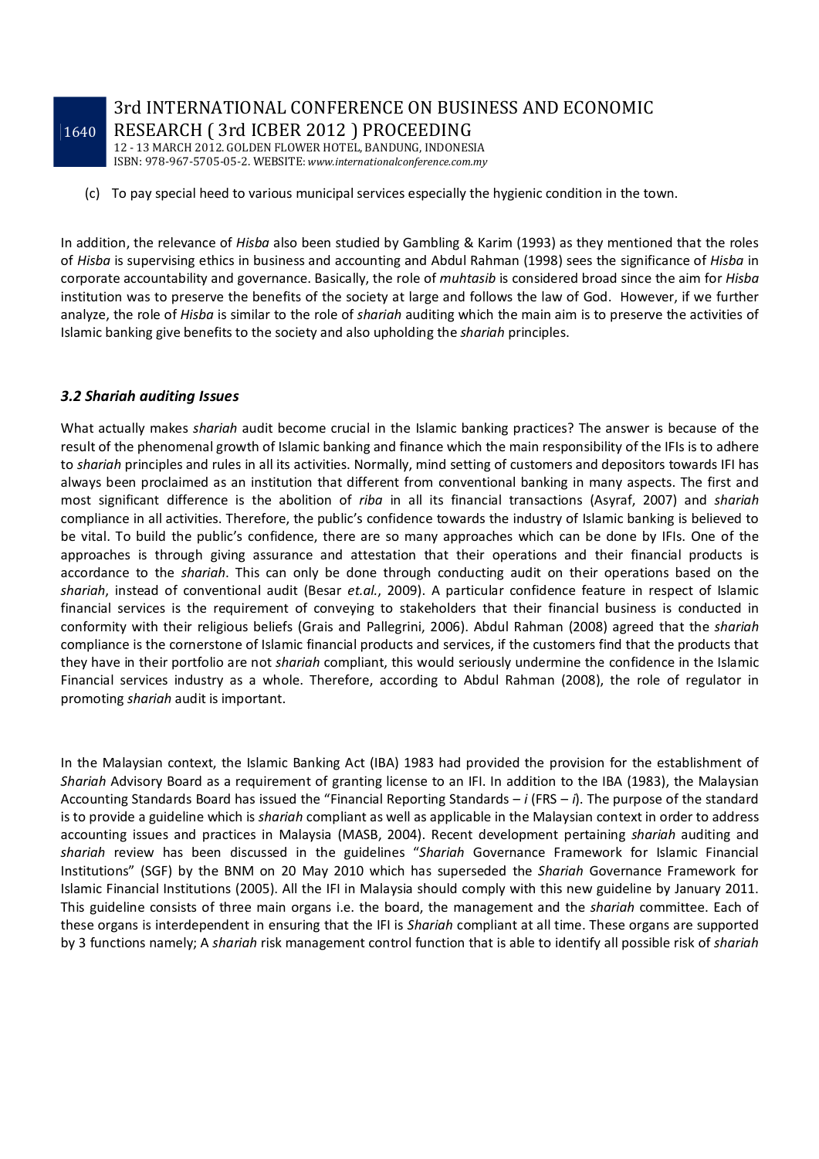3rd INTERNATIONAL CONFERENCE ON BUSINESS AND ECONOMIC RESEARCH ( 3rd ICBER 2012 ) PROCEEDING

12 - 13 MARCH 2012. GOLDEN FLOWER HOTEL, BANDUNG, INDONESIA ISBN: 978-967-5705-05-2. WEBSITE: *www.internationalconference.com.my*

(c) To pay special heed to various municipal services especially the hygienic condition in the town.

In addition, the relevance of *Hisba* also been studied by Gambling & Karim (1993) as they mentioned that the roles of *Hisba* is supervising ethics in business and accounting and Abdul Rahman (1998) sees the significance of *Hisba* in corporate accountability and governance. Basically, the role of *muhtasib* is considered broad since the aim for *Hisba*  institution was to preserve the benefits of the society at large and follows the law of God. However, if we further analyze, the role of *Hisba* is similar to the role of *shariah* auditing which the main aim is to preserve the activities of Islamic banking give benefits to the society and also upholding the *shariah* principles.

#### *3.2 Shariah auditing Issues*

What actually makes *shariah* audit become crucial in the Islamic banking practices? The answer is because of the result of the phenomenal growth of Islamic banking and finance which the main responsibility of the IFIs is to adhere to *shariah* principles and rules in all its activities. Normally, mind setting of customers and depositors towards IFI has always been proclaimed as an institution that different from conventional banking in many aspects. The first and most significant difference is the abolition of *riba* in all its financial transactions (Asyraf, 2007) and *shariah* compliance in all activities. Therefore, the public's confidence towards the industry of Islamic banking is believed to be vital. To build the public's confidence, there are so many approaches which can be done by IFIs. One of the approaches is through giving assurance and attestation that their operations and their financial products is accordance to the *shariah*. This can only be done through conducting audit on their operations based on the *shariah*, instead of conventional audit (Besar *et.al.*, 2009). A particular confidence feature in respect of Islamic financial services is the requirement of conveying to stakeholders that their financial business is conducted in conformity with their religious beliefs (Grais and Pallegrini, 2006). Abdul Rahman (2008) agreed that the *shariah* compliance is the cornerstone of Islamic financial products and services, if the customers find that the products that they have in their portfolio are not *shariah* compliant, this would seriously undermine the confidence in the Islamic Financial services industry as a whole. Therefore, according to Abdul Rahman (2008), the role of regulator in promoting *shariah* audit is important.

In the Malaysian context, the Islamic Banking Act (IBA) 1983 had provided the provision for the establishment of *Shariah* Advisory Board as a requirement of granting license to an IFI. In addition to the IBA (1983), the Malaysian Accounting Standards Board has issued the "Financial Reporting Standards – *i* (FRS – *i*). The purpose of the standard is to provide a guideline which is *shariah* compliant as well as applicable in the Malaysian context in order to address accounting issues and practices in Malaysia (MASB, 2004). Recent development pertaining *shariah* auditing and *shariah* review has been discussed in the guidelines "*Shariah* Governance Framework for Islamic Financial Institutions" (SGF) by the BNM on 20 May 2010 which has superseded the *Shariah* Governance Framework for Islamic Financial Institutions (2005). All the IFI in Malaysia should comply with this new guideline by January 2011. This guideline consists of three main organs i.e. the board, the management and the *shariah* committee. Each of these organs is interdependent in ensuring that the IFI is *Shariah* compliant at all time. These organs are supported by 3 functions namely; A *shariah* risk management control function that is able to identify all possible risk of *shariah*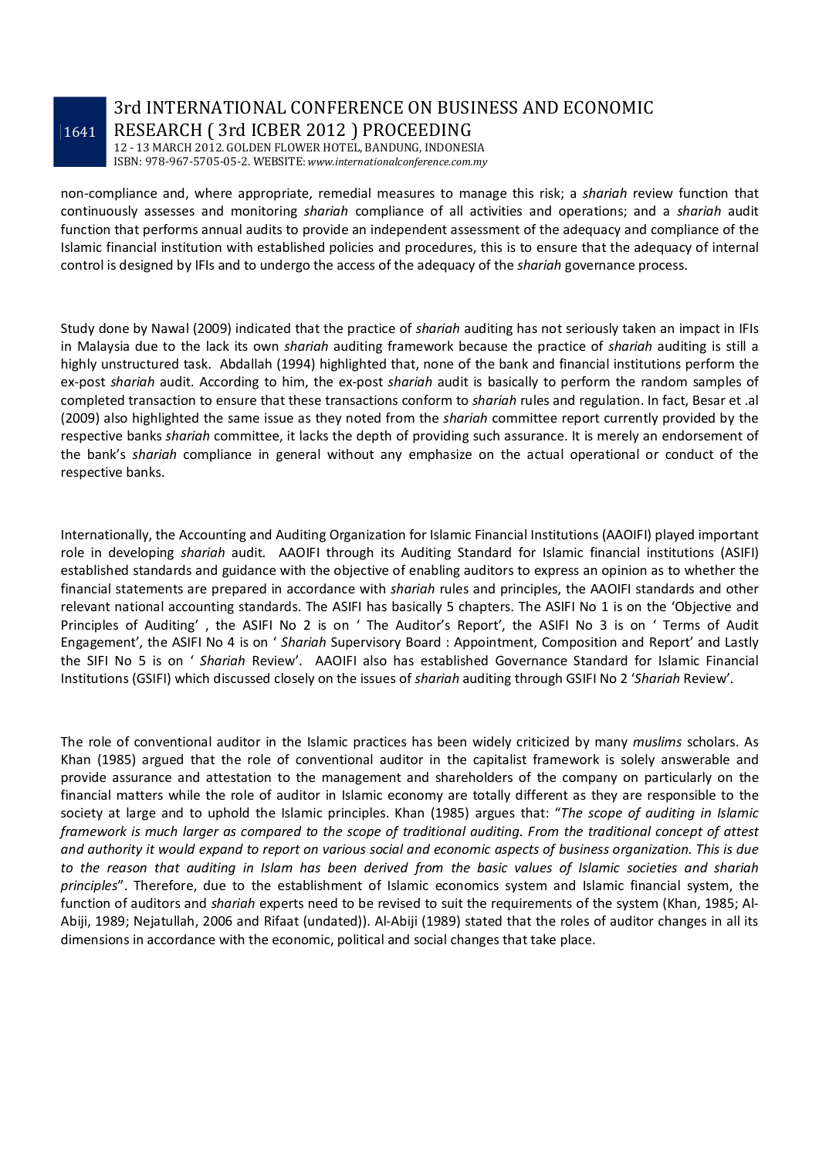# 3rd INTERNATIONAL CONFERENCE ON BUSINESS AND ECONOMIC RESEARCH ( 3rd ICBER 2012 ) PROCEEDING

12 - 13 MARCH 2012. GOLDEN FLOWER HOTEL, BANDUNG, INDONESIA ISBN: 978-967-5705-05-2. WEBSITE: *www.internationalconference.com.my*

non-compliance and, where appropriate, remedial measures to manage this risk; a *shariah* review function that continuously assesses and monitoring *shariah* compliance of all activities and operations; and a *shariah* audit function that performs annual audits to provide an independent assessment of the adequacy and compliance of the Islamic financial institution with established policies and procedures, this is to ensure that the adequacy of internal control is designed by IFIs and to undergo the access of the adequacy of the *shariah* governance process.

Study done by Nawal (2009) indicated that the practice of *shariah* auditing has not seriously taken an impact in IFIs in Malaysia due to the lack its own *shariah* auditing framework because the practice of *shariah* auditing is still a highly unstructured task. Abdallah (1994) highlighted that, none of the bank and financial institutions perform the ex-post *shariah* audit. According to him, the ex-post *shariah* audit is basically to perform the random samples of completed transaction to ensure that these transactions conform to *shariah* rules and regulation. In fact, Besar et .al (2009) also highlighted the same issue as they noted from the *shariah* committee report currently provided by the respective banks *shariah* committee, it lacks the depth of providing such assurance. It is merely an endorsement of the bank's *shariah* compliance in general without any emphasize on the actual operational or conduct of the respective banks.

Internationally, the Accounting and Auditing Organization for Islamic Financial Institutions (AAOIFI) played important role in developing *shariah* audit. AAOIFI through its Auditing Standard for Islamic financial institutions (ASIFI) established standards and guidance with the objective of enabling auditors to express an opinion as to whether the financial statements are prepared in accordance with *shariah* rules and principles, the AAOIFI standards and other relevant national accounting standards. The ASIFI has basically 5 chapters. The ASIFI No 1 is on the 'Objective and Principles of Auditing' , the ASIFI No 2 is on ' The Auditor's Report', the ASIFI No 3 is on ' Terms of Audit Engagement', the ASIFI No 4 is on ' *Shariah* Supervisory Board : Appointment, Composition and Report' and Lastly the SIFI No 5 is on ' *Shariah* Review'. AAOIFI also has established Governance Standard for Islamic Financial Institutions (GSIFI) which discussed closely on the issues of *shariah* auditing through GSIFI No 2 '*Shariah* Review'.

The role of conventional auditor in the Islamic practices has been widely criticized by many *muslims* scholars. As Khan (1985) argued that the role of conventional auditor in the capitalist framework is solely answerable and provide assurance and attestation to the management and shareholders of the company on particularly on the financial matters while the role of auditor in Islamic economy are totally different as they are responsible to the society at large and to uphold the Islamic principles. Khan (1985) argues that: "*The scope of auditing in Islamic framework is much larger as compared to the scope of traditional auditing. From the traditional concept of attest and authority it would expand to report on various social and economic aspects of business organization. This is due to the reason that auditing in Islam has been derived from the basic values of Islamic societies and shariah principles*". Therefore, due to the establishment of Islamic economics system and Islamic financial system, the function of auditors and *shariah* experts need to be revised to suit the requirements of the system (Khan, 1985; Al-Abiji, 1989; Nejatullah, 2006 and Rifaat (undated)). Al-Abiji (1989) stated that the roles of auditor changes in all its dimensions in accordance with the economic, political and social changes that take place.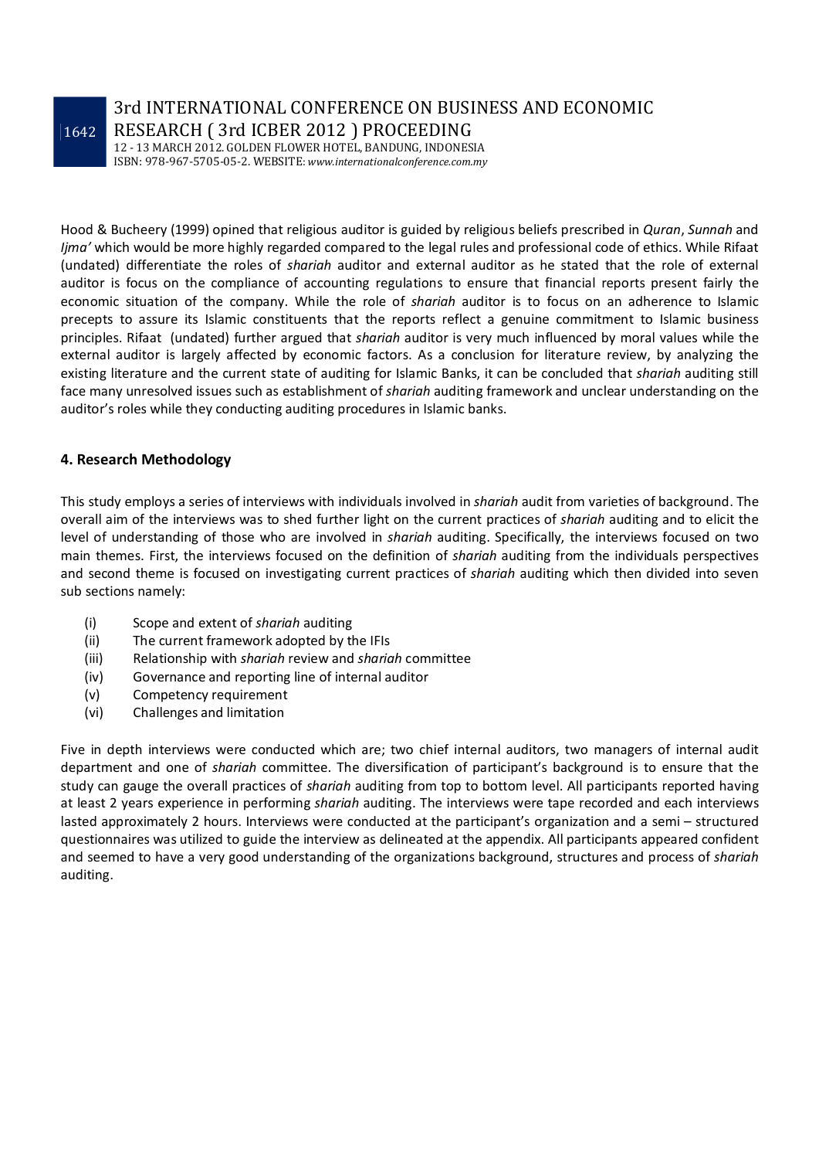### 3rd INTERNATIONAL CONFERENCE ON BUSINESS AND ECONOMIC RESEARCH ( 3rd ICBER 2012 ) PROCEEDING

12 - 13 MARCH 2012. GOLDEN FLOWER HOTEL, BANDUNG, INDONESIA ISBN: 978-967-5705-05-2. WEBSITE: *www.internationalconference.com.my*

Hood & Bucheery (1999) opined that religious auditor is guided by religious beliefs prescribed in *Quran*, *Sunnah* and *Ijma'* which would be more highly regarded compared to the legal rules and professional code of ethics. While Rifaat (undated) differentiate the roles of *shariah* auditor and external auditor as he stated that the role of external auditor is focus on the compliance of accounting regulations to ensure that financial reports present fairly the economic situation of the company. While the role of *shariah* auditor is to focus on an adherence to Islamic precepts to assure its Islamic constituents that the reports reflect a genuine commitment to Islamic business principles. Rifaat (undated) further argued that *shariah* auditor is very much influenced by moral values while the external auditor is largely affected by economic factors. As a conclusion for literature review, by analyzing the existing literature and the current state of auditing for Islamic Banks, it can be concluded that *shariah* auditing still face many unresolved issues such as establishment of *shariah* auditing framework and unclear understanding on the auditor's roles while they conducting auditing procedures in Islamic banks.

#### **4. Research Methodology**

This study employs a series of interviews with individuals involved in *shariah* audit from varieties of background. The overall aim of the interviews was to shed further light on the current practices of *shariah* auditing and to elicit the level of understanding of those who are involved in *shariah* auditing. Specifically, the interviews focused on two main themes. First, the interviews focused on the definition of *shariah* auditing from the individuals perspectives and second theme is focused on investigating current practices of *shariah* auditing which then divided into seven sub sections namely:

- (i) Scope and extent of *shariah* auditing
- (ii) The current framework adopted by the IFIs
- (iii) Relationship with *shariah* review and *shariah* committee
- (iv) Governance and reporting line of internal auditor
- (v) Competency requirement
- (vi) Challenges and limitation

Five in depth interviews were conducted which are; two chief internal auditors, two managers of internal audit department and one of *shariah* committee. The diversification of participant's background is to ensure that the study can gauge the overall practices of *shariah* auditing from top to bottom level. All participants reported having at least 2 years experience in performing *shariah* auditing. The interviews were tape recorded and each interviews lasted approximately 2 hours. Interviews were conducted at the participant's organization and a semi – structured questionnaires was utilized to guide the interview as delineated at the appendix. All participants appeared confident and seemed to have a very good understanding of the organizations background, structures and process of *shariah* auditing.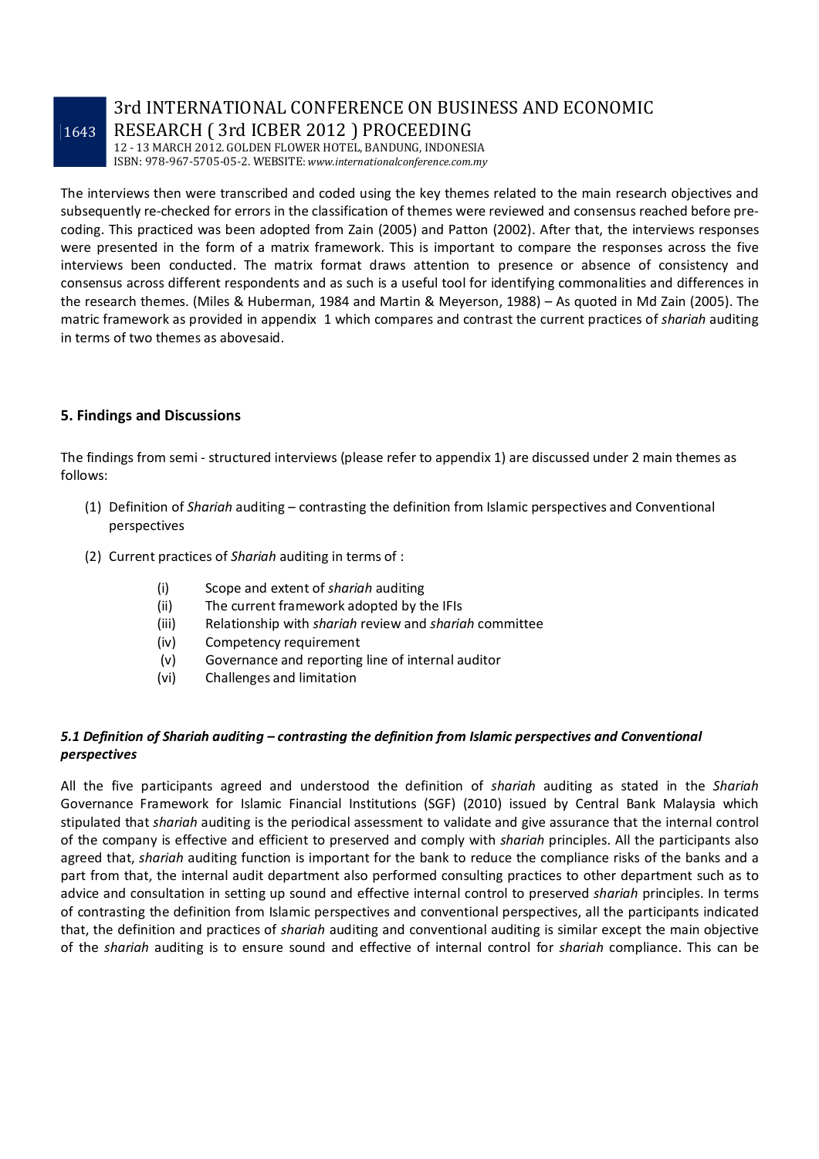### 3rd INTERNATIONAL CONFERENCE ON BUSINESS AND ECONOMIC RESEARCH ( 3rd ICBER 2012 ) PROCEEDING

12 - 13 MARCH 2012. GOLDEN FLOWER HOTEL, BANDUNG, INDONESIA ISBN: 978-967-5705-05-2. WEBSITE: *www.internationalconference.com.my*

The interviews then were transcribed and coded using the key themes related to the main research objectives and subsequently re-checked for errors in the classification of themes were reviewed and consensus reached before precoding. This practiced was been adopted from Zain (2005) and Patton (2002). After that, the interviews responses were presented in the form of a matrix framework. This is important to compare the responses across the five interviews been conducted. The matrix format draws attention to presence or absence of consistency and consensus across different respondents and as such is a useful tool for identifying commonalities and differences in the research themes. (Miles & Huberman, 1984 and Martin & Meyerson, 1988) – As quoted in Md Zain (2005). The matric framework as provided in appendix 1 which compares and contrast the current practices of *shariah* auditing in terms of two themes as abovesaid.

#### **5. Findings and Discussions**

The findings from semi - structured interviews (please refer to appendix 1) are discussed under 2 main themes as follows:

- (1) Definition of *Shariah* auditing contrasting the definition from Islamic perspectives and Conventional perspectives
- (2) Current practices of *Shariah* auditing in terms of :
	- (i) Scope and extent of *shariah* auditing
	- (ii) The current framework adopted by the IFIs
	- (iii) Relationship with *shariah* review and *shariah* committee
	- (iv) Competency requirement
	- (v) Governance and reporting line of internal auditor
	- (vi) Challenges and limitation

#### *5.1 Definition of Shariah auditing – contrasting the definition from Islamic perspectives and Conventional perspectives*

All the five participants agreed and understood the definition of *shariah* auditing as stated in the *Shariah* Governance Framework for Islamic Financial Institutions (SGF) (2010) issued by Central Bank Malaysia which stipulated that *shariah* auditing is the periodical assessment to validate and give assurance that the internal control of the company is effective and efficient to preserved and comply with *shariah* principles. All the participants also agreed that, *shariah* auditing function is important for the bank to reduce the compliance risks of the banks and a part from that, the internal audit department also performed consulting practices to other department such as to advice and consultation in setting up sound and effective internal control to preserved *shariah* principles. In terms of contrasting the definition from Islamic perspectives and conventional perspectives, all the participants indicated that, the definition and practices of *shariah* auditing and conventional auditing is similar except the main objective of the *shariah* auditing is to ensure sound and effective of internal control for *shariah* compliance. This can be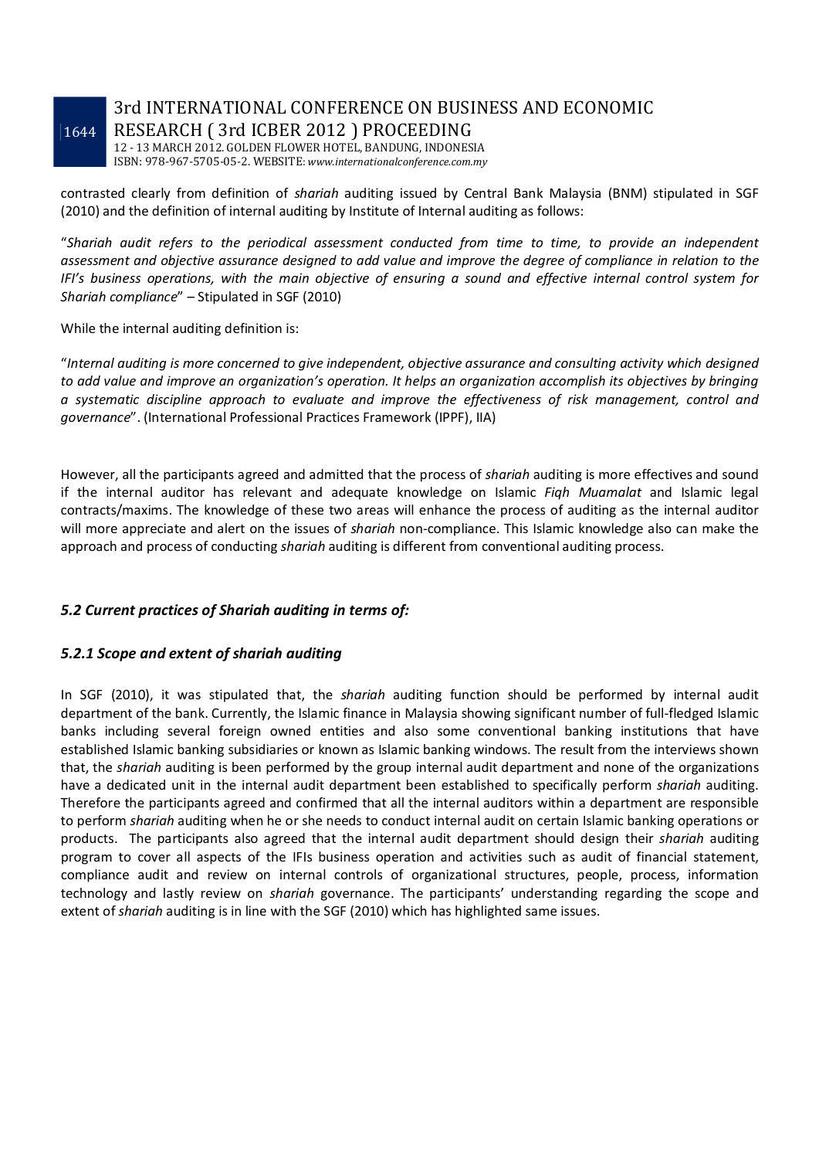# 3rd INTERNATIONAL CONFERENCE ON BUSINESS AND ECONOMIC RESEARCH ( 3rd ICBER 2012 ) PROCEEDING

12 - 13 MARCH 2012. GOLDEN FLOWER HOTEL, BANDUNG, INDONESIA ISBN: 978-967-5705-05-2. WEBSITE: *www.internationalconference.com.my*

contrasted clearly from definition of *shariah* auditing issued by Central Bank Malaysia (BNM) stipulated in SGF (2010) and the definition of internal auditing by Institute of Internal auditing as follows:

"*Shariah audit refers to the periodical assessment conducted from time to time, to provide an independent assessment and objective assurance designed to add value and improve the degree of compliance in relation to the IFI's business operations, with the main objective of ensuring a sound and effective internal control system for Shariah compliance*" – Stipulated in SGF (2010)

While the internal auditing definition is:

"*Internal auditing is more concerned to give independent, objective assurance and consulting activity which designed to add value and improve an organization's operation. It helps an organization accomplish its objectives by bringing a systematic discipline approach to evaluate and improve the effectiveness of risk management, control and governance*". (International Professional Practices Framework (IPPF), IIA)

However, all the participants agreed and admitted that the process of *shariah* auditing is more effectives and sound if the internal auditor has relevant and adequate knowledge on Islamic *Fiqh Muamalat* and Islamic legal contracts/maxims. The knowledge of these two areas will enhance the process of auditing as the internal auditor will more appreciate and alert on the issues of *shariah* non-compliance. This Islamic knowledge also can make the approach and process of conducting *shariah* auditing is different from conventional auditing process.

### *5.2 Current practices of Shariah auditing in terms of:*

#### *5.2.1 Scope and extent of shariah auditing*

In SGF (2010), it was stipulated that, the *shariah* auditing function should be performed by internal audit department of the bank. Currently, the Islamic finance in Malaysia showing significant number of full-fledged Islamic banks including several foreign owned entities and also some conventional banking institutions that have established Islamic banking subsidiaries or known as Islamic banking windows. The result from the interviews shown that, the *shariah* auditing is been performed by the group internal audit department and none of the organizations have a dedicated unit in the internal audit department been established to specifically perform *shariah* auditing. Therefore the participants agreed and confirmed that all the internal auditors within a department are responsible to perform *shariah* auditing when he or she needs to conduct internal audit on certain Islamic banking operations or products. The participants also agreed that the internal audit department should design their *shariah* auditing program to cover all aspects of the IFIs business operation and activities such as audit of financial statement, compliance audit and review on internal controls of organizational structures, people, process, information technology and lastly review on *shariah* governance. The participants' understanding regarding the scope and extent of *shariah* auditing is in line with the SGF (2010) which has highlighted same issues.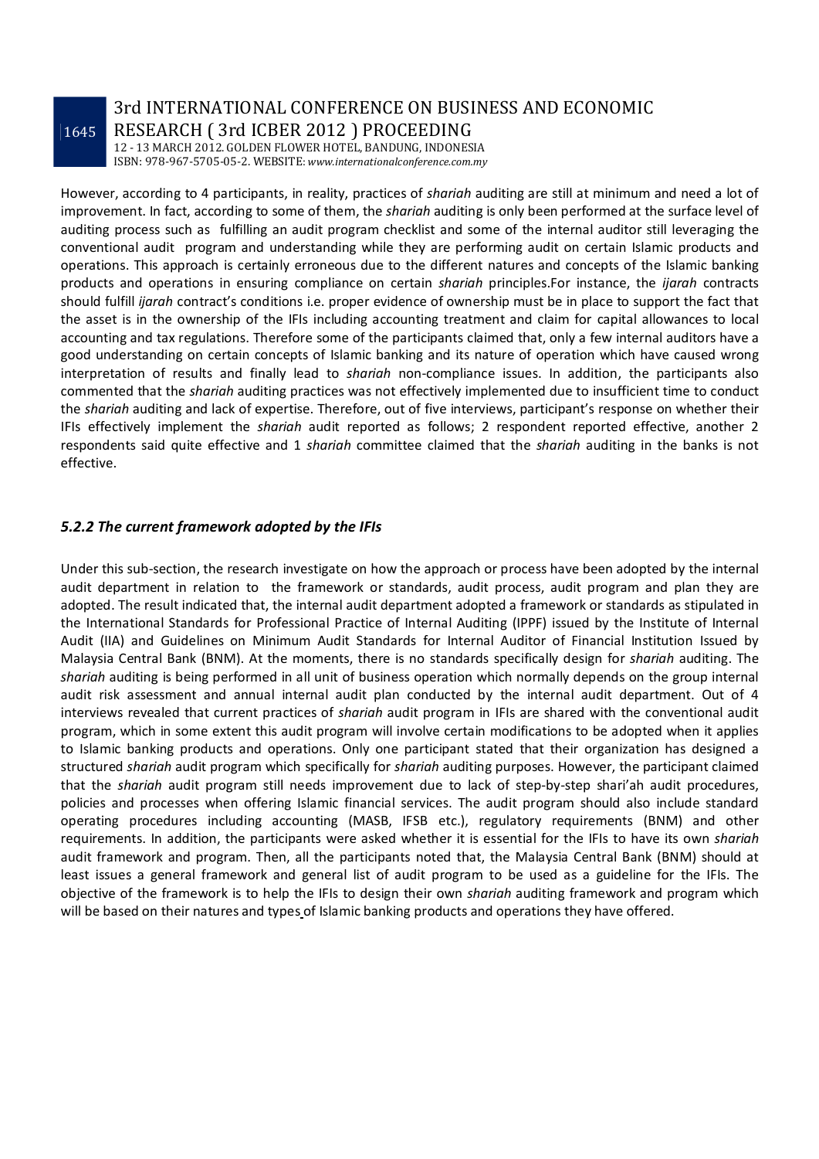### 3rd INTERNATIONAL CONFERENCE ON BUSINESS AND ECONOMIC RESEARCH ( 3rd ICBER 2012 ) PROCEEDING

12 - 13 MARCH 2012. GOLDEN FLOWER HOTEL, BANDUNG, INDONESIA ISBN: 978-967-5705-05-2. WEBSITE: *www.internationalconference.com.my*

However, according to 4 participants, in reality, practices of *shariah* auditing are still at minimum and need a lot of improvement. In fact, according to some of them, the *shariah* auditing is only been performed at the surface level of auditing process such as fulfilling an audit program checklist and some of the internal auditor still leveraging the conventional audit program and understanding while they are performing audit on certain Islamic products and operations. This approach is certainly erroneous due to the different natures and concepts of the Islamic banking products and operations in ensuring compliance on certain *shariah* principles.For instance, the *ijarah* contracts should fulfill *ijarah* contract's conditions i.e. proper evidence of ownership must be in place to support the fact that the asset is in the ownership of the IFIs including accounting treatment and claim for capital allowances to local accounting and tax regulations. Therefore some of the participants claimed that, only a few internal auditors have a good understanding on certain concepts of Islamic banking and its nature of operation which have caused wrong interpretation of results and finally lead to *shariah* non-compliance issues. In addition, the participants also commented that the *shariah* auditing practices was not effectively implemented due to insufficient time to conduct the *shariah* auditing and lack of expertise. Therefore, out of five interviews, participant's response on whether their IFIs effectively implement the *shariah* audit reported as follows; 2 respondent reported effective, another 2 respondents said quite effective and 1 *shariah* committee claimed that the *shariah* auditing in the banks is not effective.

#### *5.2.2 The current framework adopted by the IFIs*

Under this sub-section, the research investigate on how the approach or process have been adopted by the internal audit department in relation to the framework or standards, audit process, audit program and plan they are adopted. The result indicated that, the internal audit department adopted a framework or standards as stipulated in the International Standards for Professional Practice of Internal Auditing (IPPF) issued by the Institute of Internal Audit (IIA) and Guidelines on Minimum Audit Standards for Internal Auditor of Financial Institution Issued by Malaysia Central Bank (BNM). At the moments, there is no standards specifically design for *shariah* auditing. The *shariah* auditing is being performed in all unit of business operation which normally depends on the group internal audit risk assessment and annual internal audit plan conducted by the internal audit department. Out of 4 interviews revealed that current practices of *shariah* audit program in IFIs are shared with the conventional audit program, which in some extent this audit program will involve certain modifications to be adopted when it applies to Islamic banking products and operations. Only one participant stated that their organization has designed a structured *shariah* audit program which specifically for *shariah* auditing purposes. However, the participant claimed that the *shariah* audit program still needs improvement due to lack of step-by-step shari'ah audit procedures, policies and processes when offering Islamic financial services. The audit program should also include standard operating procedures including accounting (MASB, IFSB etc.), regulatory requirements (BNM) and other requirements. In addition, the participants were asked whether it is essential for the IFIs to have its own *shariah* audit framework and program. Then, all the participants noted that, the Malaysia Central Bank (BNM) should at least issues a general framework and general list of audit program to be used as a guideline for the IFIs. The objective of the framework is to help the IFIs to design their own *shariah* auditing framework and program which will be based on their natures and types of Islamic banking products and operations they have offered.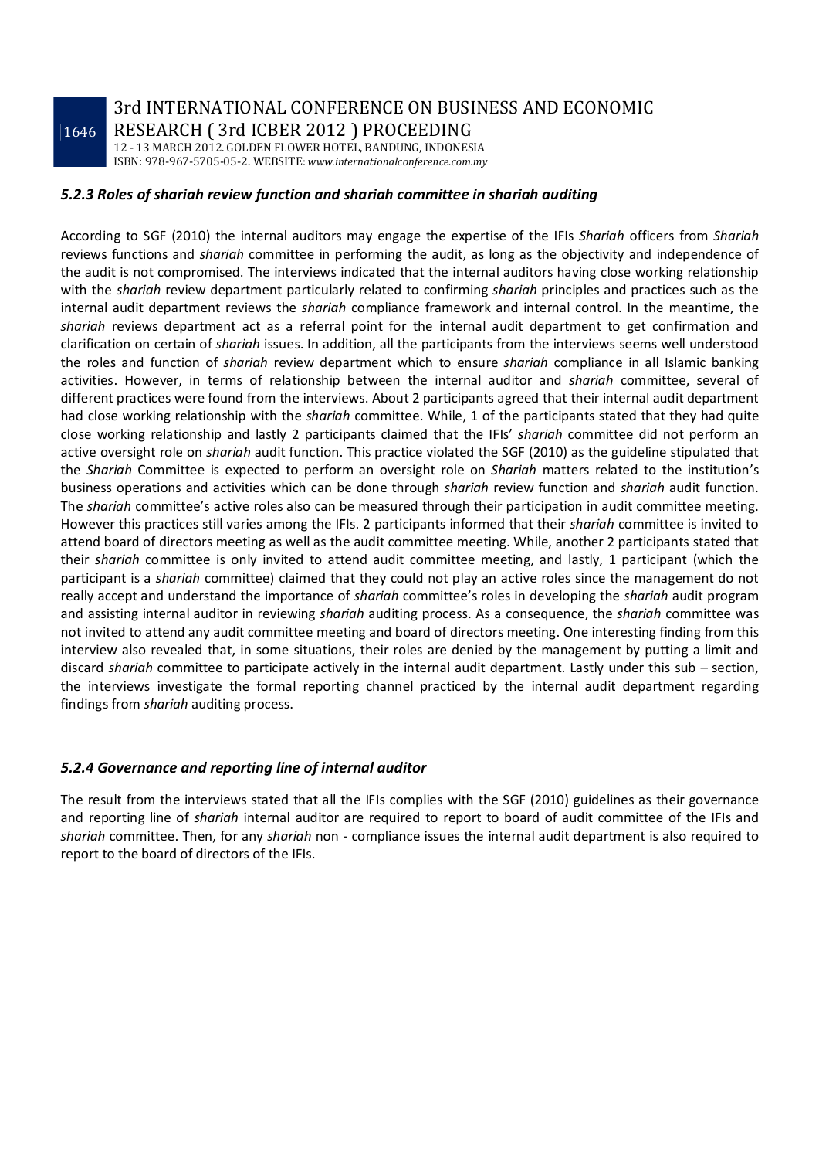3rd INTERNATIONAL CONFERENCE ON BUSINESS AND ECONOMIC RESEARCH ( 3rd ICBER 2012 ) PROCEEDING

12 - 13 MARCH 2012. GOLDEN FLOWER HOTEL, BANDUNG, INDONESIA ISBN: 978-967-5705-05-2. WEBSITE: *www.internationalconference.com.my*

#### *5.2.3 Roles of shariah review function and shariah committee in shariah auditing*

According to SGF (2010) the internal auditors may engage the expertise of the IFIs *Shariah* officers from *Shariah* reviews functions and *shariah* committee in performing the audit, as long as the objectivity and independence of the audit is not compromised. The interviews indicated that the internal auditors having close working relationship with the *shariah* review department particularly related to confirming *shariah* principles and practices such as the internal audit department reviews the *shariah* compliance framework and internal control. In the meantime, the *shariah* reviews department act as a referral point for the internal audit department to get confirmation and clarification on certain of *shariah* issues. In addition, all the participants from the interviews seems well understood the roles and function of *shariah* review department which to ensure *shariah* compliance in all Islamic banking activities. However, in terms of relationship between the internal auditor and *shariah* committee, several of different practices were found from the interviews. About 2 participants agreed that their internal audit department had close working relationship with the *shariah* committee. While, 1 of the participants stated that they had quite close working relationship and lastly 2 participants claimed that the IFIs' *shariah* committee did not perform an active oversight role on *shariah* audit function. This practice violated the SGF (2010) as the guideline stipulated that the *Shariah* Committee is expected to perform an oversight role on *Shariah* matters related to the institution's business operations and activities which can be done through *shariah* review function and *shariah* audit function. The *shariah* committee's active roles also can be measured through their participation in audit committee meeting. However this practices still varies among the IFIs. 2 participants informed that their *shariah* committee is invited to attend board of directors meeting as well as the audit committee meeting. While, another 2 participants stated that their *shariah* committee is only invited to attend audit committee meeting, and lastly, 1 participant (which the participant is a *shariah* committee) claimed that they could not play an active roles since the management do not really accept and understand the importance of *shariah* committee's roles in developing the *shariah* audit program and assisting internal auditor in reviewing *shariah* auditing process. As a consequence, the *shariah* committee was not invited to attend any audit committee meeting and board of directors meeting. One interesting finding from this interview also revealed that, in some situations, their roles are denied by the management by putting a limit and discard *shariah* committee to participate actively in the internal audit department. Lastly under this sub – section, the interviews investigate the formal reporting channel practiced by the internal audit department regarding findings from *shariah* auditing process.

#### *5.2.4 Governance and reporting line of internal auditor*

The result from the interviews stated that all the IFIs complies with the SGF (2010) guidelines as their governance and reporting line of *shariah* internal auditor are required to report to board of audit committee of the IFIs and *shariah* committee. Then, for any *shariah* non - compliance issues the internal audit department is also required to report to the board of directors of the IFIs.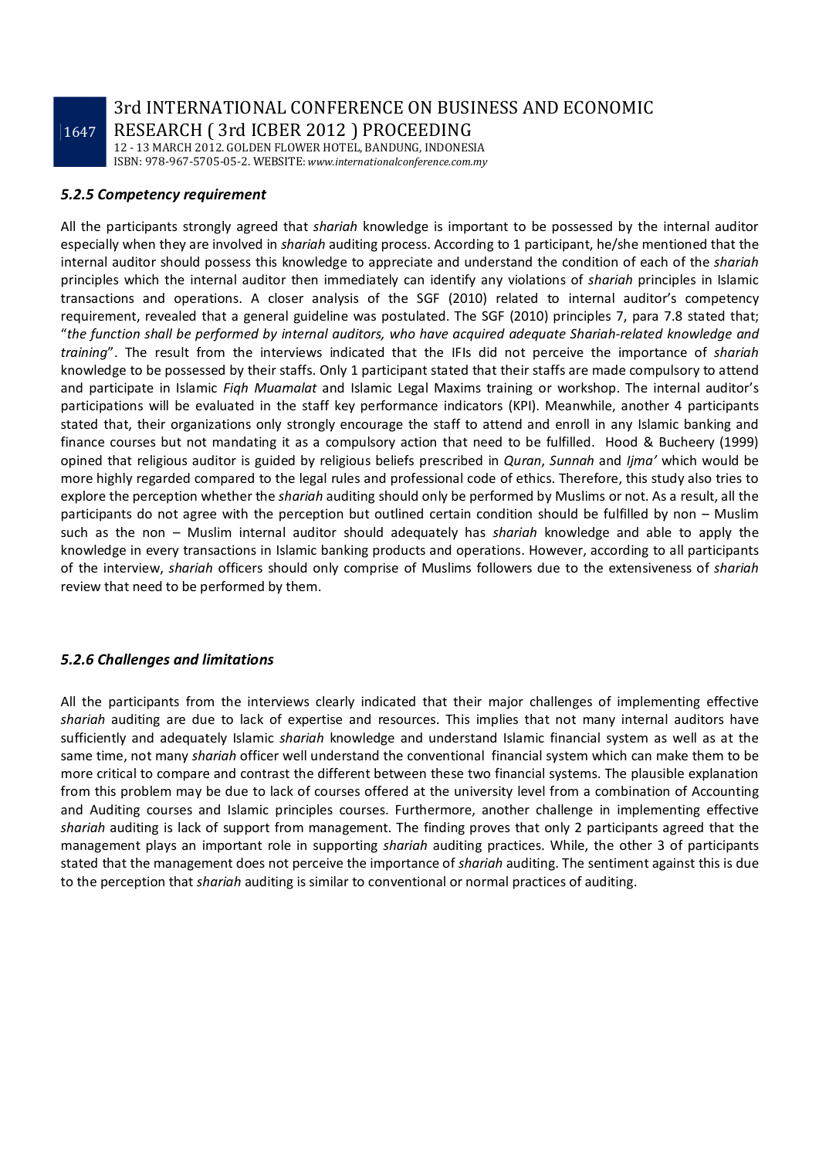3rd INTERNATIONAL CONFERENCE ON BUSINESS AND ECONOMIC RESEARCH ( 3rd ICBER 2012 ) PROCEEDING

12 - 13 MARCH 2012. GOLDEN FLOWER HOTEL, BANDUNG, INDONESIA ISBN: 978-967-5705-05-2. WEBSITE: *www.internationalconference.com.my*

#### *5.2.5 Competency requirement*

All the participants strongly agreed that *shariah* knowledge is important to be possessed by the internal auditor especially when they are involved in *shariah* auditing process. According to 1 participant, he/she mentioned that the internal auditor should possess this knowledge to appreciate and understand the condition of each of the *shariah* principles which the internal auditor then immediately can identify any violations of *shariah* principles in Islamic transactions and operations. A closer analysis of the SGF (2010) related to internal auditor's competency requirement, revealed that a general guideline was postulated. The SGF (2010) principles 7, para 7.8 stated that; "*the function shall be performed by internal auditors, who have acquired adequate Shariah-related knowledge and training*". The result from the interviews indicated that the IFIs did not perceive the importance of *shariah* knowledge to be possessed by their staffs. Only 1 participant stated that their staffs are made compulsory to attend and participate in Islamic *Fiqh Muamalat* and Islamic Legal Maxims training or workshop. The internal auditor's participations will be evaluated in the staff key performance indicators (KPI). Meanwhile, another 4 participants stated that, their organizations only strongly encourage the staff to attend and enroll in any Islamic banking and finance courses but not mandating it as a compulsory action that need to be fulfilled. Hood & Bucheery (1999) opined that religious auditor is guided by religious beliefs prescribed in *Quran*, *Sunnah* and *Ijma'* which would be more highly regarded compared to the legal rules and professional code of ethics. Therefore, this study also tries to explore the perception whether the *shariah* auditing should only be performed by Muslims or not. As a result, all the participants do not agree with the perception but outlined certain condition should be fulfilled by non – Muslim such as the non – Muslim internal auditor should adequately has *shariah* knowledge and able to apply the knowledge in every transactions in Islamic banking products and operations. However, according to all participants of the interview, *shariah* officers should only comprise of Muslims followers due to the extensiveness of *shariah* review that need to be performed by them.

#### *5.2.6 Challenges and limitations*

All the participants from the interviews clearly indicated that their major challenges of implementing effective *shariah* auditing are due to lack of expertise and resources. This implies that not many internal auditors have sufficiently and adequately Islamic *shariah* knowledge and understand Islamic financial system as well as at the same time, not many *shariah* officer well understand the conventional financial system which can make them to be more critical to compare and contrast the different between these two financial systems. The plausible explanation from this problem may be due to lack of courses offered at the university level from a combination of Accounting and Auditing courses and Islamic principles courses. Furthermore, another challenge in implementing effective *shariah* auditing is lack of support from management. The finding proves that only 2 participants agreed that the management plays an important role in supporting *shariah* auditing practices. While, the other 3 of participants stated that the management does not perceive the importance of *shariah* auditing. The sentiment against this is due to the perception that *shariah* auditing is similar to conventional or normal practices of auditing.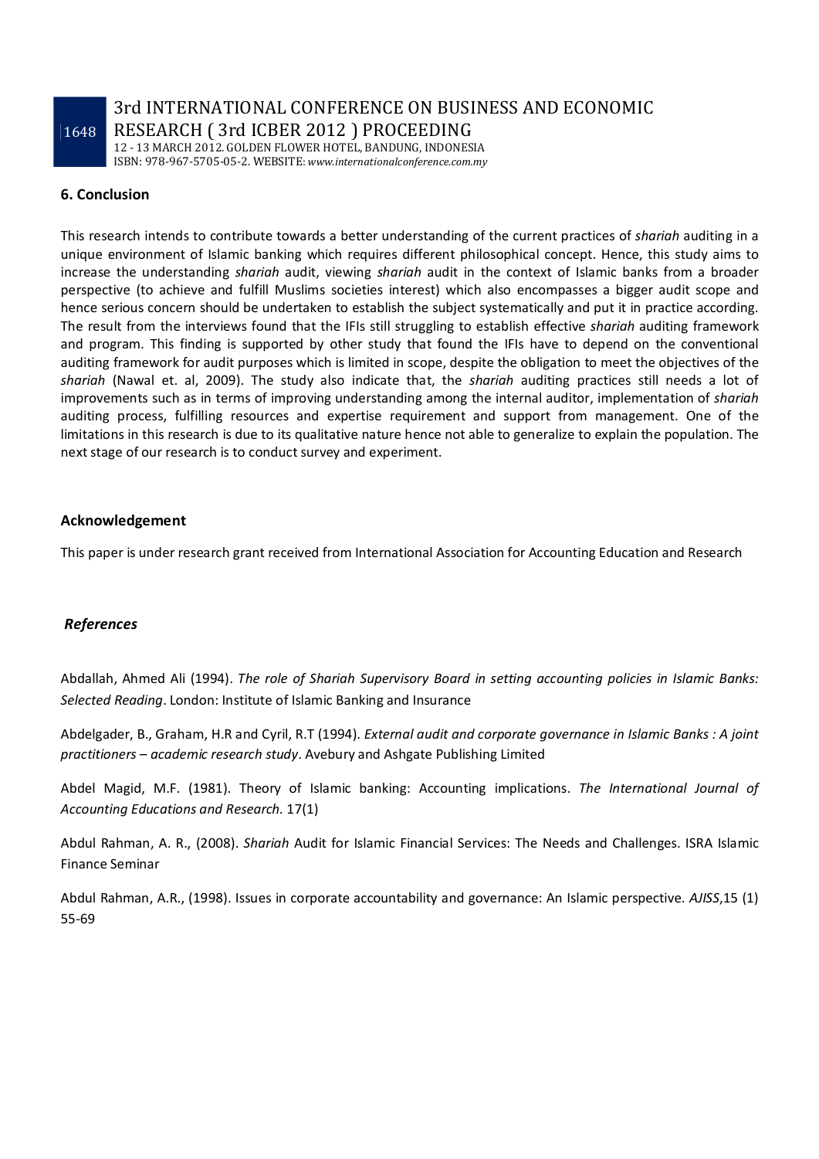3rd INTERNATIONAL CONFERENCE ON BUSINESS AND ECONOMIC RESEARCH ( 3rd ICBER 2012 ) PROCEEDING

12 - 13 MARCH 2012. GOLDEN FLOWER HOTEL, BANDUNG, INDONESIA ISBN: 978-967-5705-05-2. WEBSITE: *www.internationalconference.com.my*

#### **6. Conclusion**

This research intends to contribute towards a better understanding of the current practices of *shariah* auditing in a unique environment of Islamic banking which requires different philosophical concept. Hence, this study aims to increase the understanding *shariah* audit, viewing *shariah* audit in the context of Islamic banks from a broader perspective (to achieve and fulfill Muslims societies interest) which also encompasses a bigger audit scope and hence serious concern should be undertaken to establish the subject systematically and put it in practice according. The result from the interviews found that the IFIs still struggling to establish effective *shariah* auditing framework and program. This finding is supported by other study that found the IFIs have to depend on the conventional auditing framework for audit purposes which is limited in scope, despite the obligation to meet the objectives of the *shariah* (Nawal et. al, 2009). The study also indicate that, the *shariah* auditing practices still needs a lot of improvements such as in terms of improving understanding among the internal auditor, implementation of *shariah* auditing process, fulfilling resources and expertise requirement and support from management. One of the limitations in this research is due to its qualitative nature hence not able to generalize to explain the population. The next stage of our research is to conduct survey and experiment.

#### **Acknowledgement**

This paper is under research grant received from International Association for Accounting Education and Research

#### *References*

Abdallah, Ahmed Ali (1994). *The role of Shariah Supervisory Board in setting accounting policies in Islamic Banks: Selected Reading*. London: Institute of Islamic Banking and Insurance

Abdelgader, B., Graham, H.R and Cyril, R.T (1994). *External audit and corporate governance in Islamic Banks : A joint practitioners – academic research study*. Avebury and Ashgate Publishing Limited

Abdel Magid, M.F. (1981). Theory of Islamic banking: Accounting implications. *The International Journal of Accounting Educations and Research.* 17(1)

Abdul Rahman, A. R., (2008). *Shariah* Audit for Islamic Financial Services: The Needs and Challenges. ISRA Islamic Finance Seminar

Abdul Rahman, A.R., (1998). Issues in corporate accountability and governance: An Islamic perspective. *AJISS*,15 (1) 55-69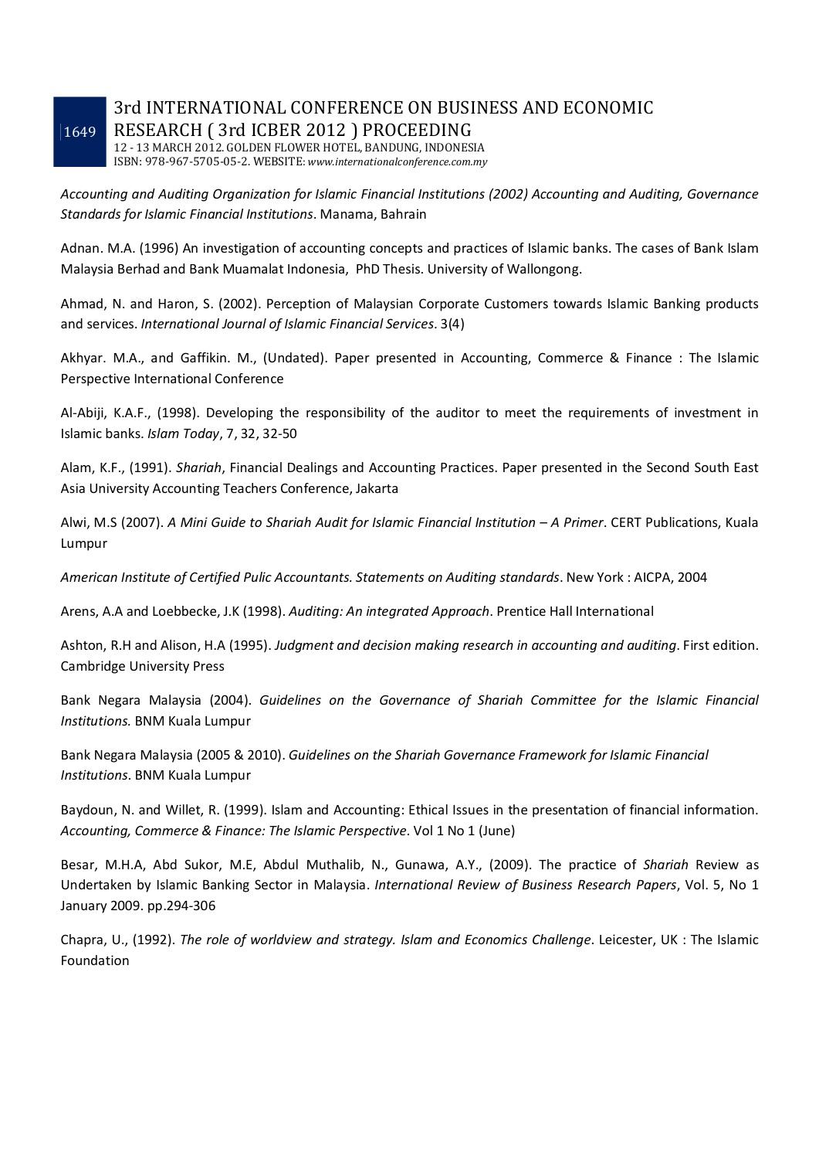### 3rd INTERNATIONAL CONFERENCE ON BUSINESS AND ECONOMIC RESEARCH ( 3rd ICBER 2012 ) PROCEEDING

12 - 13 MARCH 2012. GOLDEN FLOWER HOTEL, BANDUNG, INDONESIA ISBN: 978-967-5705-05-2. WEBSITE: *www.internationalconference.com.my*

*Accounting and Auditing Organization for Islamic Financial Institutions (2002) Accounting and Auditing, Governance Standards for Islamic Financial Institutions*. Manama, Bahrain

Adnan. M.A. (1996) An investigation of accounting concepts and practices of Islamic banks. The cases of Bank Islam Malaysia Berhad and Bank Muamalat Indonesia, PhD Thesis. University of Wallongong.

Ahmad, N. and Haron, S. (2002). Perception of Malaysian Corporate Customers towards Islamic Banking products and services. *International Journal of Islamic Financial Services*. 3(4)

Akhyar. M.A., and Gaffikin. M., (Undated). Paper presented in Accounting, Commerce & Finance : The Islamic Perspective International Conference

Al-Abiji, K.A.F., (1998). Developing the responsibility of the auditor to meet the requirements of investment in Islamic banks. *Islam Today*, 7, 32, 32-50

Alam, K.F., (1991). *Shariah*, Financial Dealings and Accounting Practices. Paper presented in the Second South East Asia University Accounting Teachers Conference, Jakarta

Alwi, M.S (2007). *A Mini Guide to Shariah Audit for Islamic Financial Institution – A Primer*. CERT Publications, Kuala Lumpur

*American Institute of Certified Pulic Accountants. Statements on Auditing standards*. New York : AICPA, 2004

Arens, A.A and Loebbecke, J.K (1998). *Auditing: An integrated Approach*. Prentice Hall International

Ashton, R.H and Alison, H.A (1995). *Judgment and decision making research in accounting and auditing*. First edition. Cambridge University Press

Bank Negara Malaysia (2004). *Guidelines on the Governance of Shariah Committee for the Islamic Financial Institutions.* BNM Kuala Lumpur

Bank Negara Malaysia (2005 & 2010). *Guidelines on the Shariah Governance Framework for Islamic Financial Institutions*. BNM Kuala Lumpur

Baydoun, N. and Willet, R. (1999). Islam and Accounting: Ethical Issues in the presentation of financial information. *Accounting, Commerce & Finance: The Islamic Perspective*. Vol 1 No 1 (June)

Besar, M.H.A, Abd Sukor, M.E, Abdul Muthalib, N., Gunawa, A.Y., (2009). The practice of *Shariah* Review as Undertaken by Islamic Banking Sector in Malaysia. *International Review of Business Research Papers*, Vol. 5, No 1 January 2009. pp.294-306

Chapra, U., (1992). *The role of worldview and strategy. Islam and Economics Challenge*. Leicester, UK : The Islamic Foundation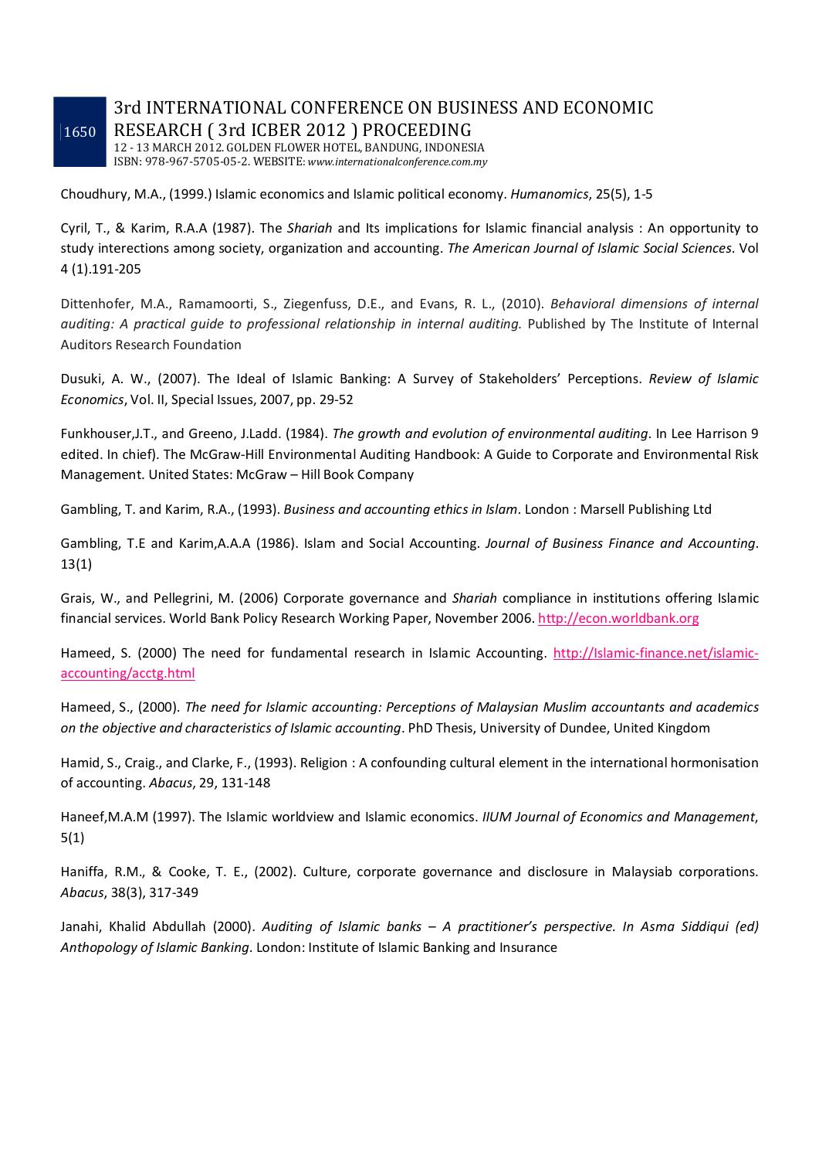### 3rd INTERNATIONAL CONFERENCE ON BUSINESS AND ECONOMIC RESEARCH ( 3rd ICBER 2012 ) PROCEEDING

12 - 13 MARCH 2012. GOLDEN FLOWER HOTEL, BANDUNG, INDONESIA ISBN: 978-967-5705-05-2. WEBSITE: *www.internationalconference.com.my*

Choudhury, M.A., (1999.) Islamic economics and Islamic political economy. *Humanomics*, 25(5), 1-5

Cyril, T., & Karim, R.A.A (1987). The *Shariah* and Its implications for Islamic financial analysis : An opportunity to study interections among society, organization and accounting. *The American Journal of Islamic Social Sciences*. Vol 4 (1).191-205

Dittenhofer, M.A., Ramamoorti, S., Ziegenfuss, D.E., and Evans, R. L., (2010). *Behavioral dimensions of internal auditing: A practical guide to professional relationship in internal auditing.* Published by The Institute of Internal Auditors Research Foundation

Dusuki, A. W., (2007). The Ideal of Islamic Banking: A Survey of Stakeholders' Perceptions. *Review of Islamic Economics*, Vol. II, Special Issues, 2007, pp. 29-52

Funkhouser,J.T., and Greeno, J.Ladd. (1984). *The growth and evolution of environmental auditing*. In Lee Harrison 9 edited. In chief). The McGraw-Hill Environmental Auditing Handbook: A Guide to Corporate and Environmental Risk Management. United States: McGraw – Hill Book Company

Gambling, T. and Karim, R.A., (1993). *Business and accounting ethics in Islam*. London : Marsell Publishing Ltd

Gambling, T.E and Karim,A.A.A (1986). Islam and Social Accounting. *Journal of Business Finance and Accounting*. 13(1)

Grais, W., and Pellegrini, M. (2006) Corporate governance and *Shariah* compliance in institutions offering Islamic financial services. World Bank Policy Research Working Paper, November 2006. http://econ.worldbank.org

Hameed, S. (2000) The need for fundamental research in Islamic Accounting. http://Islamic-finance.net/islamicaccounting/acctg.html

Hameed, S., (2000). *The need for Islamic accounting: Perceptions of Malaysian Muslim accountants and academics on the objective and characteristics of Islamic accounting*. PhD Thesis, University of Dundee, United Kingdom

Hamid, S., Craig., and Clarke, F., (1993). Religion : A confounding cultural element in the international hormonisation of accounting. *Abacus*, 29, 131-148

Haneef,M.A.M (1997). The Islamic worldview and Islamic economics. *IIUM Journal of Economics and Management*, 5(1)

Haniffa, R.M., & Cooke, T. E., (2002). Culture, corporate governance and disclosure in Malaysiab corporations. *Abacus*, 38(3), 317-349

Janahi, Khalid Abdullah (2000). *Auditing of Islamic banks – A practitioner's perspective. In Asma Siddiqui (ed) Anthopology of Islamic Banking*. London: Institute of Islamic Banking and Insurance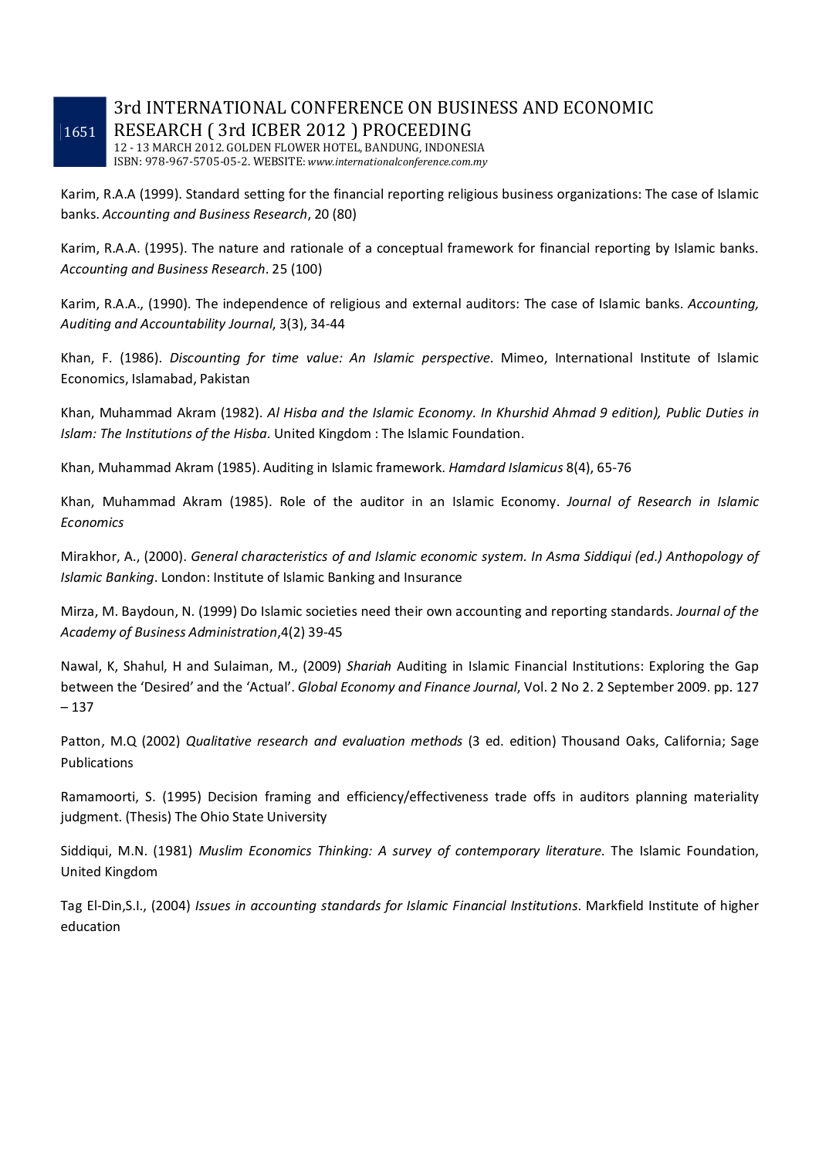### 3rd INTERNATIONAL CONFERENCE ON BUSINESS AND ECONOMIC RESEARCH ( 3rd ICBER 2012 ) PROCEEDING

12 - 13 MARCH 2012. GOLDEN FLOWER HOTEL, BANDUNG, INDONESIA ISBN: 978-967-5705-05-2. WEBSITE: *www.internationalconference.com.my*

Karim, R.A.A (1999). Standard setting for the financial reporting religious business organizations: The case of Islamic banks. *Accounting and Business Research*, 20 (80)

Karim, R.A.A. (1995). The nature and rationale of a conceptual framework for financial reporting by Islamic banks. *Accounting and Business Research*. 25 (100)

Karim, R.A.A., (1990). The independence of religious and external auditors: The case of Islamic banks. *Accounting, Auditing and Accountability Journal*, 3(3), 34-44

Khan, F. (1986). *Discounting for time value: An Islamic perspective*. Mimeo, International Institute of Islamic Economics, Islamabad, Pakistan

Khan, Muhammad Akram (1982). *Al Hisba and the Islamic Economy. In Khurshid Ahmad 9 edition), Public Duties in Islam: The Institutions of the Hisba.* United Kingdom : The Islamic Foundation.

Khan, Muhammad Akram (1985). Auditing in Islamic framework. *Hamdard Islamicus* 8(4), 65-76

Khan, Muhammad Akram (1985). Role of the auditor in an Islamic Economy. *Journal of Research in Islamic Economics*

Mirakhor, A., (2000). *General characteristics of and Islamic economic system. In Asma Siddiqui (ed.) Anthopology of Islamic Banking*. London: Institute of Islamic Banking and Insurance

Mirza, M. Baydoun, N. (1999) Do Islamic societies need their own accounting and reporting standards. *Journal of the Academy of Business Administration*,4(2) 39-45

Nawal, K, Shahul, H and Sulaiman, M., (2009) *Shariah* Auditing in Islamic Financial Institutions: Exploring the Gap between the 'Desired' and the 'Actual'. *Global Economy and Finance Journal*, Vol. 2 No 2. 2 September 2009. pp. 127 – 137

Patton, M.Q (2002) *Qualitative research and evaluation methods* (3 ed. edition) Thousand Oaks, California; Sage Publications

Ramamoorti, S. (1995) Decision framing and efficiency/effectiveness trade offs in auditors planning materiality judgment. (Thesis) The Ohio State University

Siddiqui, M.N. (1981) *Muslim Economics Thinking: A survey of contemporary literature*. The Islamic Foundation, United Kingdom

Tag El-Din,S.I., (2004) *Issues in accounting standards for Islamic Financial Institutions*. Markfield Institute of higher education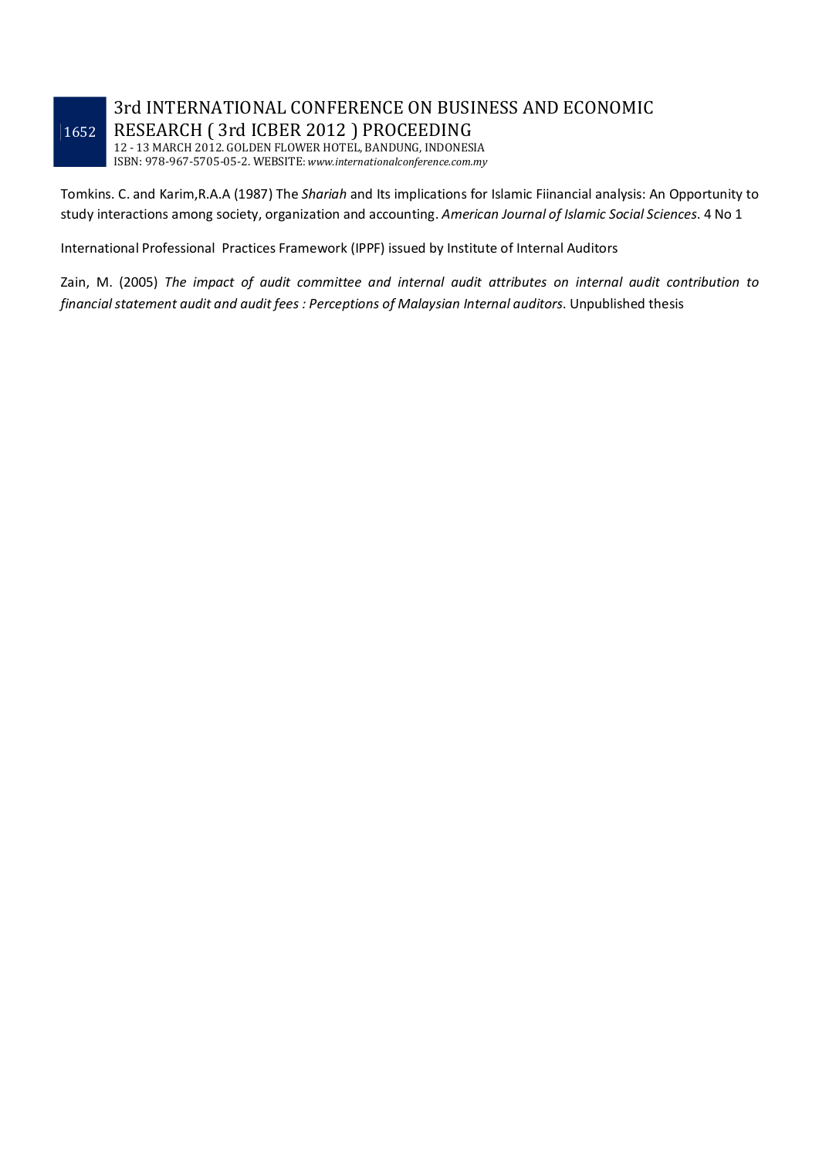# 3rd INTERNATIONAL CONFERENCE ON BUSINESS AND ECONOMIC RESEARCH ( 3rd ICBER 2012 ) PROCEEDING

12 - 13 MARCH 2012. GOLDEN FLOWER HOTEL, BANDUNG, INDONESIA ISBN: 978-967-5705-05-2. WEBSITE: *www.internationalconference.com.my*

Tomkins. C. and Karim,R.A.A (1987) The *Shariah* and Its implications for Islamic Fiinancial analysis: An Opportunity to study interactions among society, organization and accounting. *American Journal of Islamic Social Sciences*. 4 No 1

International Professional Practices Framework (IPPF) issued by Institute of Internal Auditors

Zain, M. (2005) *The impact of audit committee and internal audit attributes on internal audit contribution to financial statement audit and audit fees : Perceptions of Malaysian Internal auditors*. Unpublished thesis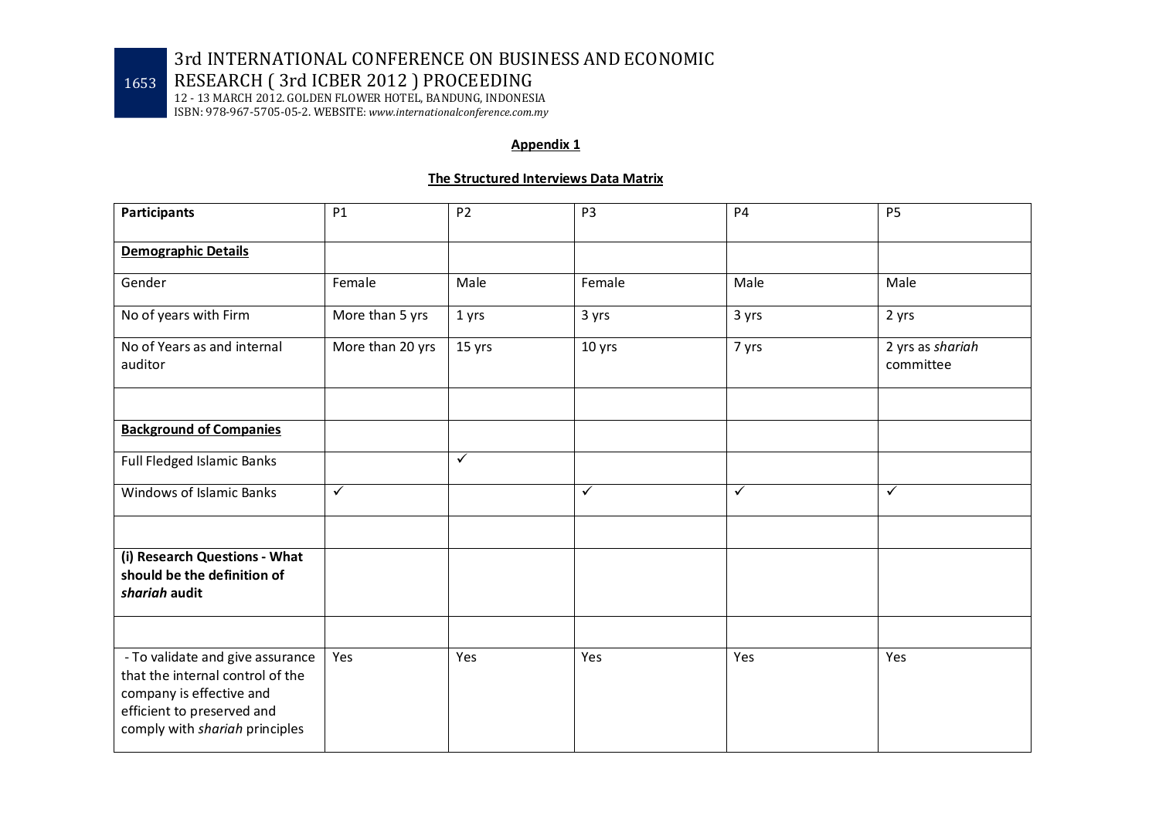RESEARCH ( 3rd ICBER 2012 ) PROCEEDING

12 - 13 MARCH 2012. GOLDEN FLOWER HOTEL, BANDUNG, INDONESIA ISBN: 978-967-5705-05-2. WEBSITE: *www.internationalconference.com.my*

#### **Appendix 1**

#### **The Structured Interviews Data Matrix**

| <b>Participants</b>                                                                                                                                              | P1               | P <sub>2</sub> | P <sub>3</sub> | <b>P4</b>    | P <sub>5</sub>                |
|------------------------------------------------------------------------------------------------------------------------------------------------------------------|------------------|----------------|----------------|--------------|-------------------------------|
| <b>Demographic Details</b>                                                                                                                                       |                  |                |                |              |                               |
| Gender                                                                                                                                                           | Female           | Male           | Female         | Male         | Male                          |
| No of years with Firm                                                                                                                                            | More than 5 yrs  | 1 yrs          | 3 yrs          | 3 yrs        | 2 yrs                         |
| No of Years as and internal<br>auditor                                                                                                                           | More than 20 yrs | 15 yrs         | 10 yrs         | 7 yrs        | 2 yrs as shariah<br>committee |
|                                                                                                                                                                  |                  |                |                |              |                               |
| <b>Background of Companies</b>                                                                                                                                   |                  |                |                |              |                               |
| Full Fledged Islamic Banks                                                                                                                                       |                  | $\checkmark$   |                |              |                               |
| <b>Windows of Islamic Banks</b>                                                                                                                                  | $\checkmark$     |                | $\checkmark$   | $\checkmark$ | $\checkmark$                  |
|                                                                                                                                                                  |                  |                |                |              |                               |
| (i) Research Questions - What<br>should be the definition of<br>shariah audit                                                                                    |                  |                |                |              |                               |
|                                                                                                                                                                  |                  |                |                |              |                               |
| - To validate and give assurance<br>that the internal control of the<br>company is effective and<br>efficient to preserved and<br>comply with shariah principles | Yes              | Yes            | Yes            | Yes          | Yes                           |

1653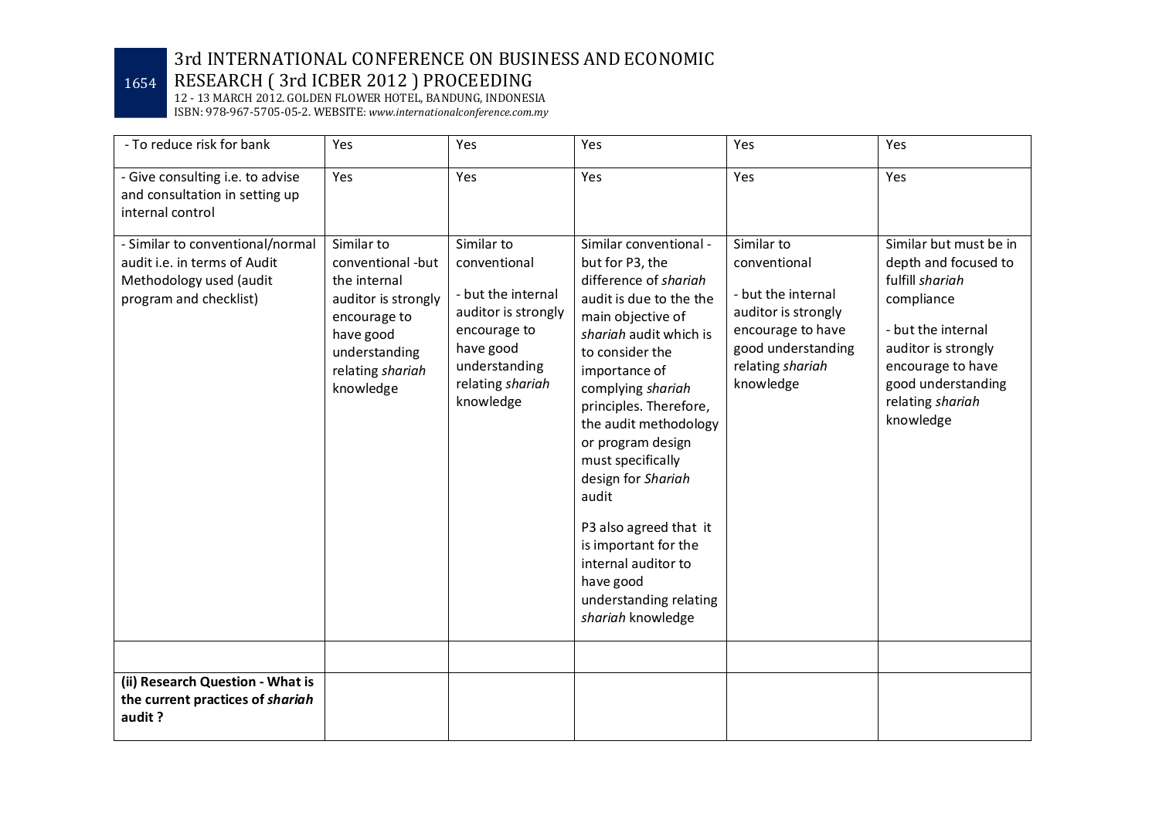# 1654 RESEARCH ( 3rd ICBER 2012 ) PROCEEDING

| - To reduce risk for bank                                                                                             | Yes                                                                                                                                                   | Yes                                                                                                                                                    | Yes                                                                                                                                                                                                                                                                                                                                                                                                                                                                    | Yes                                                                                                                                                 | Yes                                                                                                                                                                                                      |
|-----------------------------------------------------------------------------------------------------------------------|-------------------------------------------------------------------------------------------------------------------------------------------------------|--------------------------------------------------------------------------------------------------------------------------------------------------------|------------------------------------------------------------------------------------------------------------------------------------------------------------------------------------------------------------------------------------------------------------------------------------------------------------------------------------------------------------------------------------------------------------------------------------------------------------------------|-----------------------------------------------------------------------------------------------------------------------------------------------------|----------------------------------------------------------------------------------------------------------------------------------------------------------------------------------------------------------|
| - Give consulting i.e. to advise<br>and consultation in setting up<br>internal control                                | Yes                                                                                                                                                   | Yes                                                                                                                                                    | Yes                                                                                                                                                                                                                                                                                                                                                                                                                                                                    | Yes                                                                                                                                                 | Yes                                                                                                                                                                                                      |
| - Similar to conventional/normal<br>audit i.e. in terms of Audit<br>Methodology used (audit<br>program and checklist) | Similar to<br>conventional -but<br>the internal<br>auditor is strongly<br>encourage to<br>have good<br>understanding<br>relating shariah<br>knowledge | Similar to<br>conventional<br>- but the internal<br>auditor is strongly<br>encourage to<br>have good<br>understanding<br>relating shariah<br>knowledge | Similar conventional -<br>but for P3, the<br>difference of shariah<br>audit is due to the the<br>main objective of<br>shariah audit which is<br>to consider the<br>importance of<br>complying shariah<br>principles. Therefore,<br>the audit methodology<br>or program design<br>must specifically<br>design for Shariah<br>audit<br>P3 also agreed that it<br>is important for the<br>internal auditor to<br>have good<br>understanding relating<br>shariah knowledge | Similar to<br>conventional<br>- but the internal<br>auditor is strongly<br>encourage to have<br>good understanding<br>relating shariah<br>knowledge | Similar but must be in<br>depth and focused to<br>fulfill shariah<br>compliance<br>- but the internal<br>auditor is strongly<br>encourage to have<br>good understanding<br>relating shariah<br>knowledge |
| (ii) Research Question - What is<br>the current practices of shariah<br>audit?                                        |                                                                                                                                                       |                                                                                                                                                        |                                                                                                                                                                                                                                                                                                                                                                                                                                                                        |                                                                                                                                                     |                                                                                                                                                                                                          |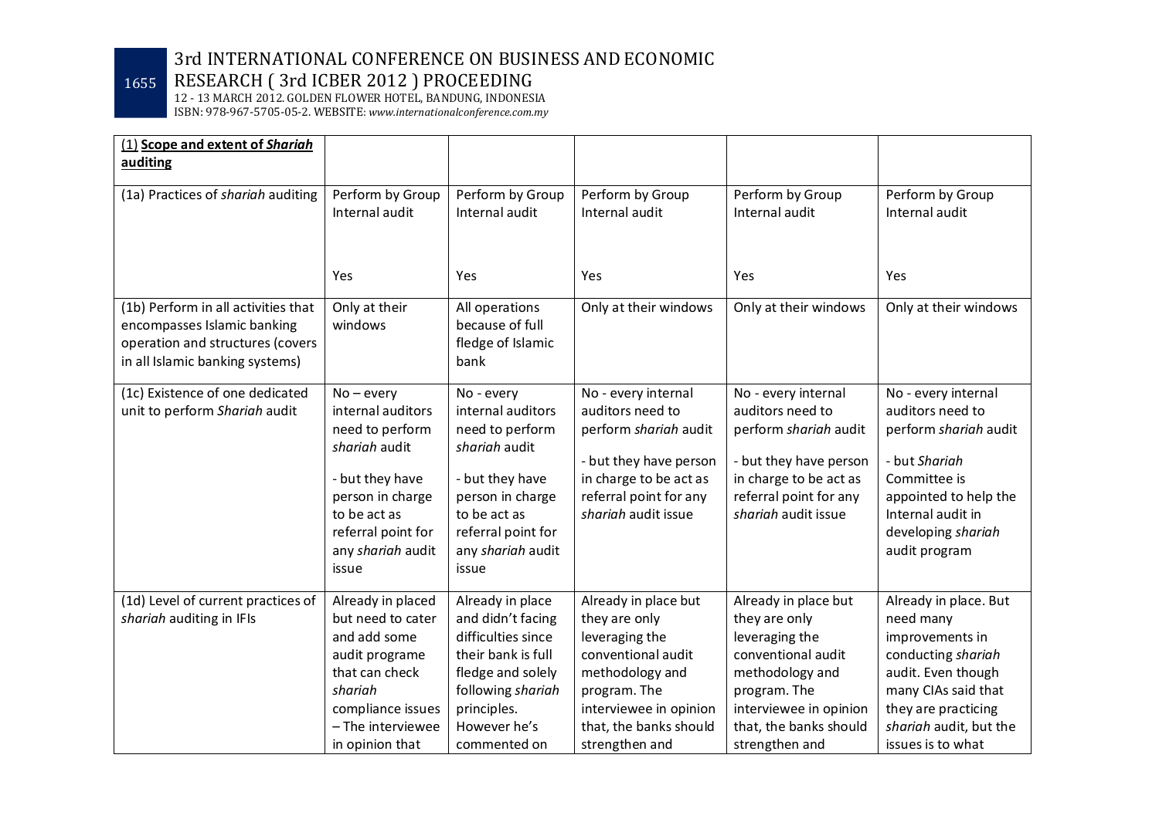# 1655 RESEARCH ( 3rd ICBER 2012 ) PROCEEDING

| (1) Scope and extent of Shariah<br>auditing                        |                                   |                                         |                                               |                                               |                                            |
|--------------------------------------------------------------------|-----------------------------------|-----------------------------------------|-----------------------------------------------|-----------------------------------------------|--------------------------------------------|
| (1a) Practices of shariah auditing                                 | Perform by Group                  | Perform by Group                        | Perform by Group                              | Perform by Group                              | Perform by Group                           |
|                                                                    | Internal audit                    | Internal audit                          | Internal audit                                | Internal audit                                | Internal audit                             |
|                                                                    |                                   |                                         |                                               |                                               |                                            |
|                                                                    | Yes                               | Yes                                     | Yes                                           | Yes                                           | Yes                                        |
| (1b) Perform in all activities that<br>encompasses Islamic banking | Only at their<br>windows          | All operations<br>because of full       | Only at their windows                         | Only at their windows                         | Only at their windows                      |
| operation and structures (covers                                   |                                   | fledge of Islamic                       |                                               |                                               |                                            |
| in all Islamic banking systems)                                    |                                   | bank                                    |                                               |                                               |                                            |
| (1c) Existence of one dedicated<br>unit to perform Shariah audit   | $No$ – every<br>internal auditors | No - every<br>internal auditors         | No - every internal<br>auditors need to       | No - every internal<br>auditors need to       | No - every internal<br>auditors need to    |
|                                                                    | need to perform                   | need to perform                         | perform shariah audit                         | perform shariah audit                         | perform shariah audit                      |
|                                                                    | shariah audit                     | shariah audit                           | - but they have person                        | - but they have person                        | - but Shariah                              |
|                                                                    | - but they have                   | - but they have                         | in charge to be act as                        | in charge to be act as                        | Committee is                               |
|                                                                    | person in charge<br>to be act as  | person in charge<br>to be act as        | referral point for any<br>shariah audit issue | referral point for any<br>shariah audit issue | appointed to help the<br>Internal audit in |
|                                                                    | referral point for                | referral point for                      |                                               |                                               | developing shariah                         |
|                                                                    | any shariah audit                 | any shariah audit                       |                                               |                                               | audit program                              |
|                                                                    | issue                             | issue                                   |                                               |                                               |                                            |
| (1d) Level of current practices of                                 | Already in placed                 | Already in place                        | Already in place but                          | Already in place but                          | Already in place. But                      |
| shariah auditing in IFIs                                           | but need to cater<br>and add some | and didn't facing<br>difficulties since | they are only<br>leveraging the               | they are only                                 | need many<br>improvements in               |
|                                                                    |                                   | their bank is full                      | conventional audit                            | leveraging the<br>conventional audit          |                                            |
|                                                                    | audit programe<br>that can check  | fledge and solely                       | methodology and                               | methodology and                               | conducting shariah<br>audit. Even though   |
|                                                                    | shariah                           | following shariah                       | program. The                                  | program. The                                  | many CIAs said that                        |
|                                                                    | compliance issues                 | principles.                             | interviewee in opinion                        | interviewee in opinion                        | they are practicing                        |
|                                                                    | - The interviewee                 | However he's                            | that, the banks should                        | that, the banks should                        | shariah audit, but the                     |
|                                                                    | in opinion that                   | commented on                            | strengthen and                                | strengthen and                                | issues is to what                          |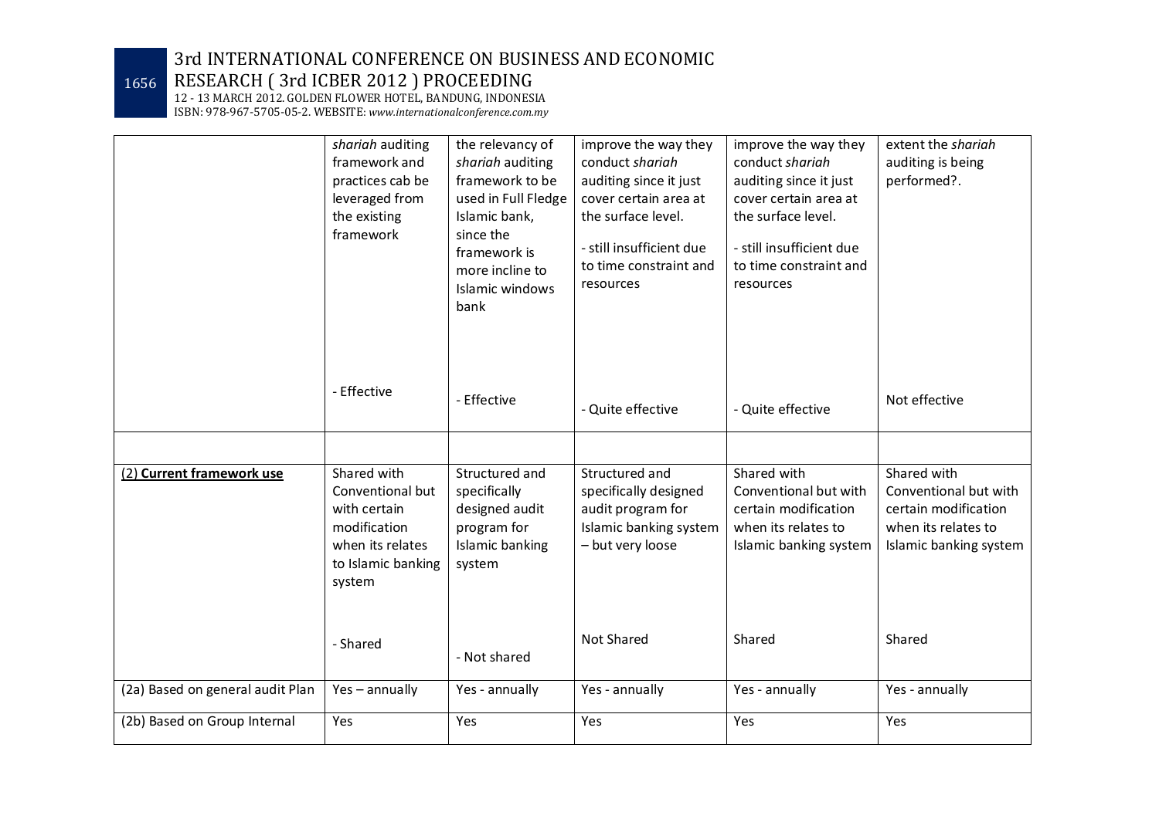1656 RESEARCH ( 3rd ICBER 2012 ) PROCEEDING

|                                  | shariah auditing<br>framework and<br>practices cab be<br>leveraged from<br>the existing<br>framework                | the relevancy of<br>shariah auditing<br>framework to be<br>used in Full Fledge<br>Islamic bank,<br>since the<br>framework is<br>more incline to<br>Islamic windows | improve the way they<br>conduct shariah<br>auditing since it just<br>cover certain area at<br>the surface level.<br>- still insufficient due<br>to time constraint and<br>resources | improve the way they<br>conduct shariah<br>auditing since it just<br>cover certain area at<br>the surface level.<br>- still insufficient due<br>to time constraint and<br>resources | extent the shariah<br>auditing is being<br>performed?.                                                        |
|----------------------------------|---------------------------------------------------------------------------------------------------------------------|--------------------------------------------------------------------------------------------------------------------------------------------------------------------|-------------------------------------------------------------------------------------------------------------------------------------------------------------------------------------|-------------------------------------------------------------------------------------------------------------------------------------------------------------------------------------|---------------------------------------------------------------------------------------------------------------|
|                                  | - Effective                                                                                                         | bank<br>- Effective                                                                                                                                                | - Quite effective                                                                                                                                                                   | - Quite effective                                                                                                                                                                   | Not effective                                                                                                 |
| (2) Current framework use        | Shared with<br>Conventional but<br>with certain<br>modification<br>when its relates<br>to Islamic banking<br>system | Structured and<br>specifically<br>designed audit<br>program for<br>Islamic banking<br>system                                                                       | Structured and<br>specifically designed<br>audit program for<br>Islamic banking system<br>- but very loose                                                                          | Shared with<br>Conventional but with<br>certain modification<br>when its relates to<br>Islamic banking system                                                                       | Shared with<br>Conventional but with<br>certain modification<br>when its relates to<br>Islamic banking system |
|                                  | - Shared                                                                                                            | - Not shared                                                                                                                                                       | Not Shared                                                                                                                                                                          | Shared                                                                                                                                                                              | Shared                                                                                                        |
| (2a) Based on general audit Plan | Yes-annually                                                                                                        | Yes - annually                                                                                                                                                     | Yes - annually                                                                                                                                                                      | Yes - annually                                                                                                                                                                      | Yes - annually                                                                                                |
| (2b) Based on Group Internal     | Yes                                                                                                                 | Yes                                                                                                                                                                | Yes                                                                                                                                                                                 | Yes                                                                                                                                                                                 | Yes                                                                                                           |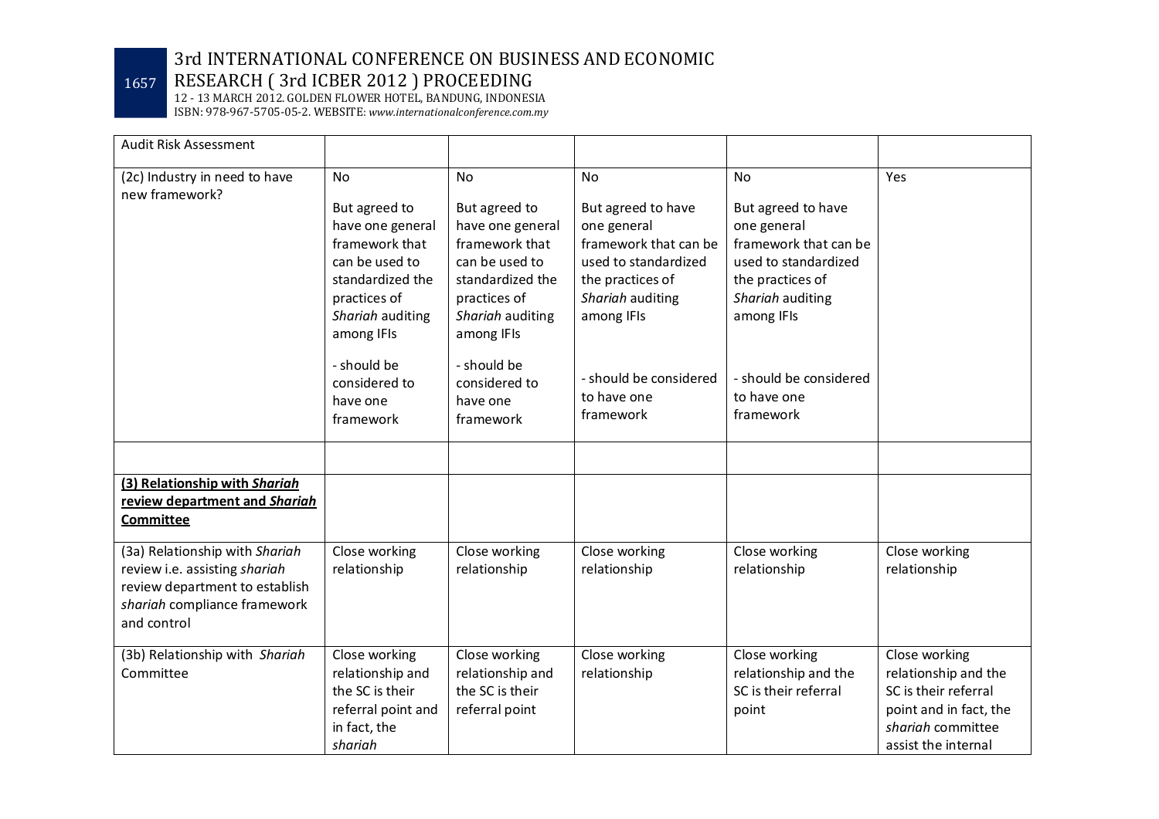# 1657 RESEARCH ( 3rd ICBER 2012 ) PROCEEDING

| Audit Risk Assessment                                                                                                                            |                                                                                                                                             |                                                                                                                                             |                                                                                                                                          |                                                                                                                                          |                                                                                                                                     |
|--------------------------------------------------------------------------------------------------------------------------------------------------|---------------------------------------------------------------------------------------------------------------------------------------------|---------------------------------------------------------------------------------------------------------------------------------------------|------------------------------------------------------------------------------------------------------------------------------------------|------------------------------------------------------------------------------------------------------------------------------------------|-------------------------------------------------------------------------------------------------------------------------------------|
| (2c) Industry in need to have<br>new framework?                                                                                                  | <b>No</b>                                                                                                                                   | No                                                                                                                                          | <b>No</b>                                                                                                                                | <b>No</b>                                                                                                                                | Yes                                                                                                                                 |
|                                                                                                                                                  | But agreed to<br>have one general<br>framework that<br>can be used to<br>standardized the<br>practices of<br>Shariah auditing<br>among IFIs | But agreed to<br>have one general<br>framework that<br>can be used to<br>standardized the<br>practices of<br>Shariah auditing<br>among IFIs | But agreed to have<br>one general<br>framework that can be<br>used to standardized<br>the practices of<br>Shariah auditing<br>among IFIs | But agreed to have<br>one general<br>framework that can be<br>used to standardized<br>the practices of<br>Shariah auditing<br>among IFIs |                                                                                                                                     |
|                                                                                                                                                  | - should be<br>considered to<br>have one<br>framework                                                                                       | - should be<br>considered to<br>have one<br>framework                                                                                       | - should be considered<br>to have one<br>framework                                                                                       | - should be considered<br>to have one<br>framework                                                                                       |                                                                                                                                     |
|                                                                                                                                                  |                                                                                                                                             |                                                                                                                                             |                                                                                                                                          |                                                                                                                                          |                                                                                                                                     |
| (3) Relationship with Shariah<br>review department and Shariah<br><b>Committee</b>                                                               |                                                                                                                                             |                                                                                                                                             |                                                                                                                                          |                                                                                                                                          |                                                                                                                                     |
| (3a) Relationship with Shariah<br>review i.e. assisting shariah<br>review department to establish<br>shariah compliance framework<br>and control | Close working<br>relationship                                                                                                               | Close working<br>relationship                                                                                                               | Close working<br>relationship                                                                                                            | Close working<br>relationship                                                                                                            | Close working<br>relationship                                                                                                       |
| (3b) Relationship with Shariah<br>Committee                                                                                                      | Close working<br>relationship and<br>the SC is their<br>referral point and<br>in fact, the<br>shariah                                       | Close working<br>relationship and<br>the SC is their<br>referral point                                                                      | Close working<br>relationship                                                                                                            | Close working<br>relationship and the<br>SC is their referral<br>point                                                                   | Close working<br>relationship and the<br>SC is their referral<br>point and in fact, the<br>shariah committee<br>assist the internal |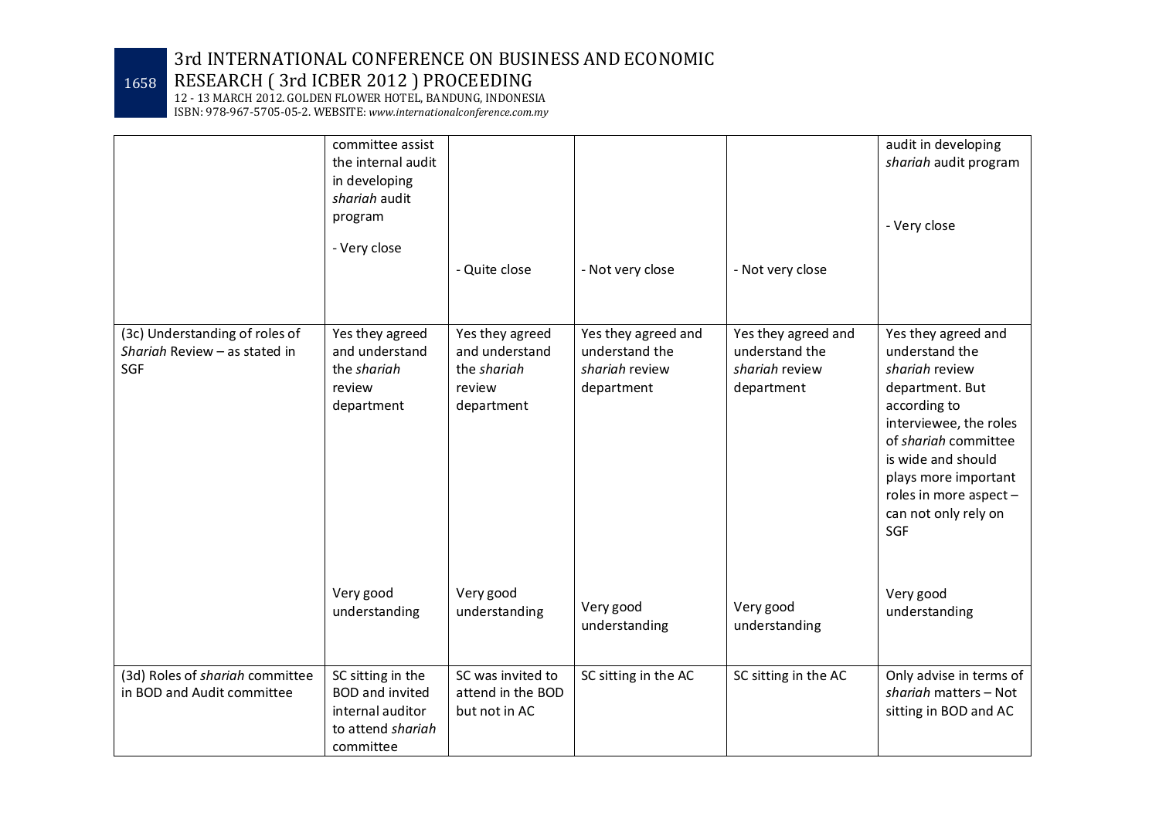1658 RESEARCH ( 3rd ICBER 2012 ) PROCEEDING

12 - 13 MARCH 2012. GOLDEN FLOWER HOTEL, BANDUNG, INDONESIA

ISBN: 978-967-5705-05-2. WEBSITE: *www.internationalconference.com.my*

|                                                                        | committee assist<br>the internal audit<br>in developing<br>shariah audit<br>program<br>- Very close | - Quite close                                                            | - Not very close                                                      | - Not very close                                                      | audit in developing<br>shariah audit program<br>- Very close                                                                                                                                                                                        |
|------------------------------------------------------------------------|-----------------------------------------------------------------------------------------------------|--------------------------------------------------------------------------|-----------------------------------------------------------------------|-----------------------------------------------------------------------|-----------------------------------------------------------------------------------------------------------------------------------------------------------------------------------------------------------------------------------------------------|
| (3c) Understanding of roles of<br>Shariah Review - as stated in<br>SGF | Yes they agreed<br>and understand<br>the shariah<br>review<br>department                            | Yes they agreed<br>and understand<br>the shariah<br>review<br>department | Yes they agreed and<br>understand the<br>shariah review<br>department | Yes they agreed and<br>understand the<br>shariah review<br>department | Yes they agreed and<br>understand the<br>shariah review<br>department. But<br>according to<br>interviewee, the roles<br>of shariah committee<br>is wide and should<br>plays more important<br>roles in more aspect -<br>can not only rely on<br>SGF |
|                                                                        | Very good<br>understanding                                                                          | Very good<br>understanding                                               | Very good<br>understanding                                            | Very good<br>understanding                                            | Very good<br>understanding                                                                                                                                                                                                                          |
| (3d) Roles of shariah committee<br>in BOD and Audit committee          | SC sitting in the<br><b>BOD</b> and invited<br>internal auditor<br>to attend shariah<br>committee   | SC was invited to<br>attend in the BOD<br>but not in AC                  | SC sitting in the AC                                                  | SC sitting in the AC                                                  | Only advise in terms of<br>shariah matters - Not<br>sitting in BOD and AC                                                                                                                                                                           |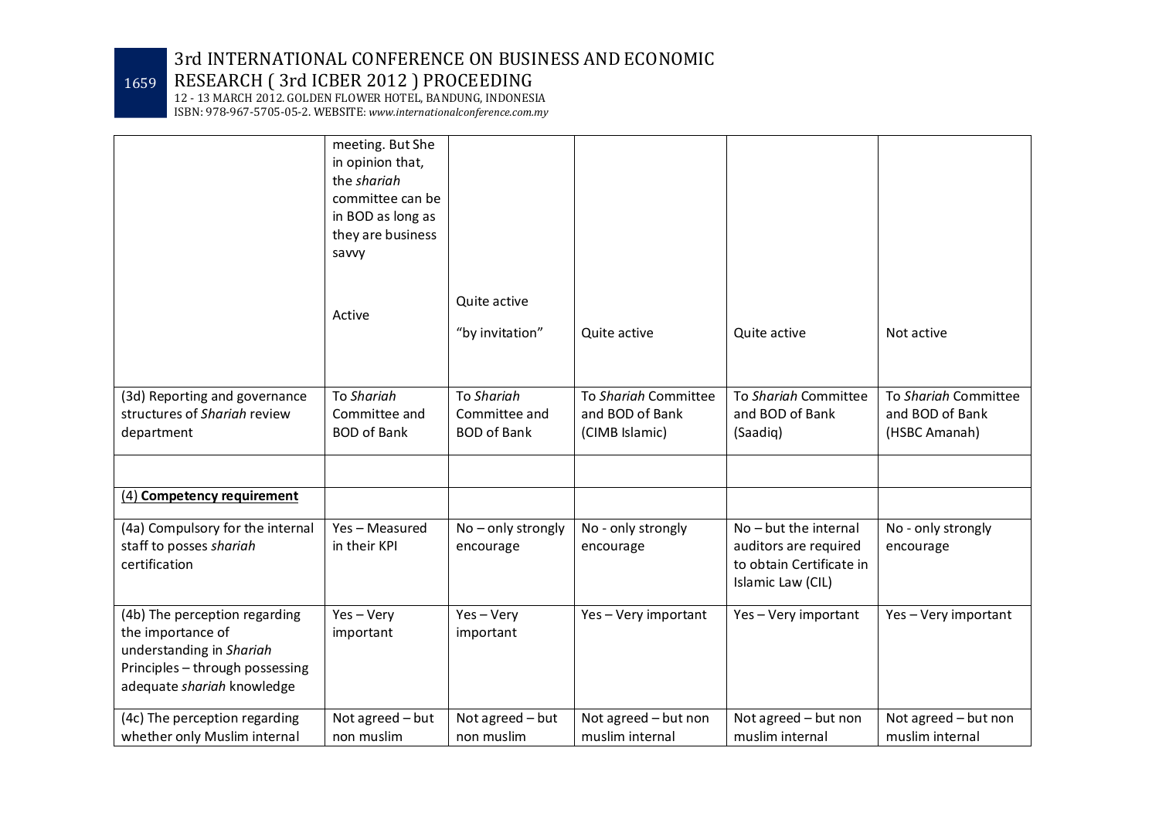1659 RESEARCH ( 3rd ICBER 2012 ) PROCEEDING

12 - 13 MARCH 2012. GOLDEN FLOWER HOTEL, BANDUNG, INDONESIA

ISBN: 978-967-5705-05-2. WEBSITE: *www.internationalconference.com.my*

|                                                                                                                                                 | meeting. But She<br>in opinion that,<br>the shariah<br>committee can be<br>in BOD as long as<br>they are business<br>savvy |                                                   |                                                           |                                                                                                   |                                                          |
|-------------------------------------------------------------------------------------------------------------------------------------------------|----------------------------------------------------------------------------------------------------------------------------|---------------------------------------------------|-----------------------------------------------------------|---------------------------------------------------------------------------------------------------|----------------------------------------------------------|
|                                                                                                                                                 | Active                                                                                                                     | Quite active<br>"by invitation"                   | Quite active                                              | Quite active                                                                                      | Not active                                               |
| (3d) Reporting and governance<br>structures of Shariah review<br>department                                                                     | To Shariah<br>Committee and<br><b>BOD of Bank</b>                                                                          | To Shariah<br>Committee and<br><b>BOD of Bank</b> | To Shariah Committee<br>and BOD of Bank<br>(CIMB Islamic) | To Shariah Committee<br>and BOD of Bank<br>(Saadiq)                                               | To Shariah Committee<br>and BOD of Bank<br>(HSBC Amanah) |
| (4) Competency requirement                                                                                                                      |                                                                                                                            |                                                   |                                                           |                                                                                                   |                                                          |
| (4a) Compulsory for the internal<br>staff to posses shariah<br>certification                                                                    | Yes - Measured<br>in their KPI                                                                                             | No - only strongly<br>encourage                   | No - only strongly<br>encourage                           | $No$ – but the internal<br>auditors are required<br>to obtain Certificate in<br>Islamic Law (CIL) | No - only strongly<br>encourage                          |
| (4b) The perception regarding<br>the importance of<br>understanding in Shariah<br>Principles - through possessing<br>adequate shariah knowledge | Yes-Very<br>important                                                                                                      | Yes-Very<br>important                             | Yes-Very important                                        | Yes-Very important                                                                                | Yes - Very important                                     |
| (4c) The perception regarding<br>whether only Muslim internal                                                                                   | Not agreed - but<br>non muslim                                                                                             | Not agreed - but<br>non muslim                    | Not agreed - but non<br>muslim internal                   | Not agreed - but non<br>muslim internal                                                           | Not agreed - but non<br>muslim internal                  |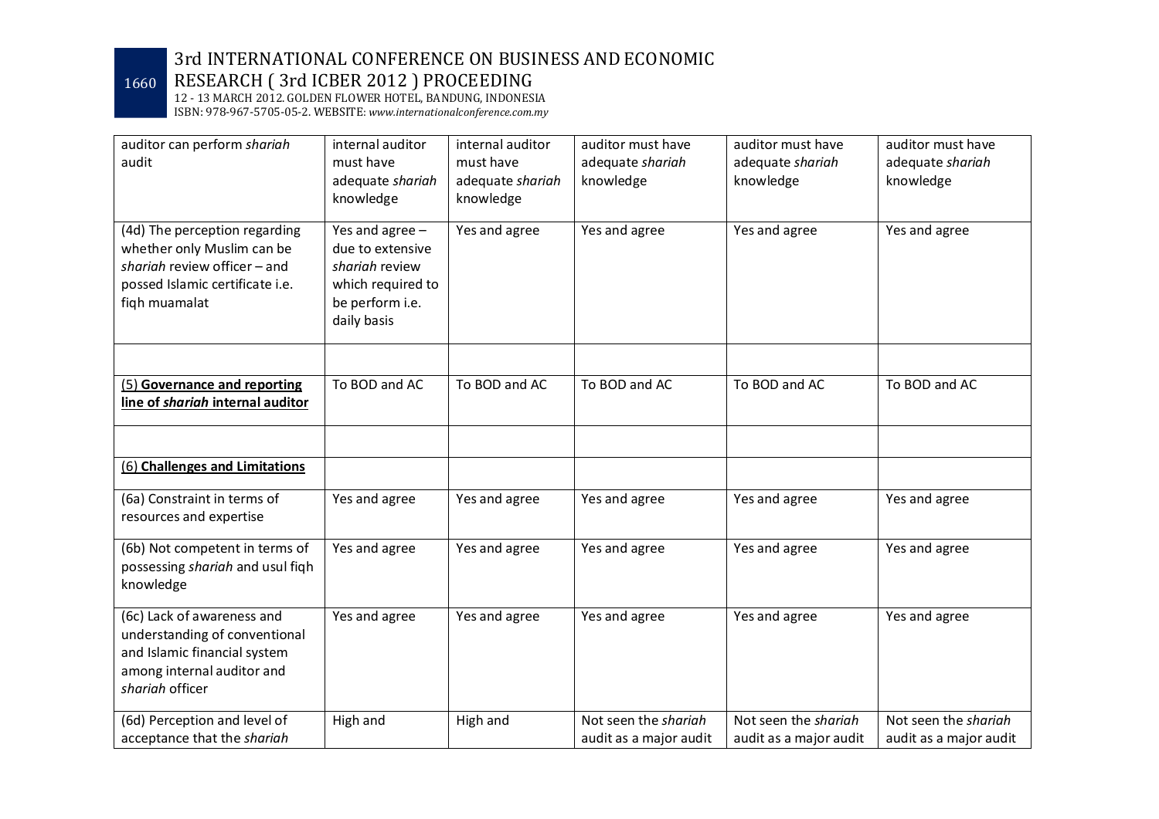1660 RESEARCH ( 3rd ICBER 2012 ) PROCEEDING

| auditor can perform shariah<br>audit                                                                                                            | internal auditor<br>must have<br>adequate shariah<br>knowledge                                               | internal auditor<br>must have<br>adequate shariah<br>knowledge | auditor must have<br>adequate shariah<br>knowledge | auditor must have<br>adequate shariah<br>knowledge | auditor must have<br>adequate shariah<br>knowledge |
|-------------------------------------------------------------------------------------------------------------------------------------------------|--------------------------------------------------------------------------------------------------------------|----------------------------------------------------------------|----------------------------------------------------|----------------------------------------------------|----------------------------------------------------|
| (4d) The perception regarding<br>whether only Muslim can be<br>shariah review officer - and<br>possed Islamic certificate i.e.<br>fiqh muamalat | Yes and agree -<br>due to extensive<br>shariah review<br>which required to<br>be perform i.e.<br>daily basis | Yes and agree                                                  | Yes and agree                                      | Yes and agree                                      | Yes and agree                                      |
| (5) Governance and reporting<br>line of shariah internal auditor                                                                                | To BOD and AC                                                                                                | To BOD and AC                                                  | To BOD and AC                                      | To BOD and AC                                      | To BOD and AC                                      |
| (6) Challenges and Limitations                                                                                                                  |                                                                                                              |                                                                |                                                    |                                                    |                                                    |
|                                                                                                                                                 |                                                                                                              |                                                                |                                                    |                                                    |                                                    |
| (6a) Constraint in terms of<br>resources and expertise                                                                                          | Yes and agree                                                                                                | Yes and agree                                                  | Yes and agree                                      | Yes and agree                                      | Yes and agree                                      |
| (6b) Not competent in terms of<br>possessing shariah and usul figh<br>knowledge                                                                 | Yes and agree                                                                                                | Yes and agree                                                  | Yes and agree                                      | Yes and agree                                      | Yes and agree                                      |
| (6c) Lack of awareness and<br>understanding of conventional<br>and Islamic financial system<br>among internal auditor and<br>shariah officer    | Yes and agree                                                                                                | Yes and agree                                                  | Yes and agree                                      | Yes and agree                                      | Yes and agree                                      |
| (6d) Perception and level of<br>acceptance that the shariah                                                                                     | High and                                                                                                     | High and                                                       | Not seen the shariah<br>audit as a major audit     | Not seen the shariah<br>audit as a major audit     | Not seen the shariah<br>audit as a major audit     |